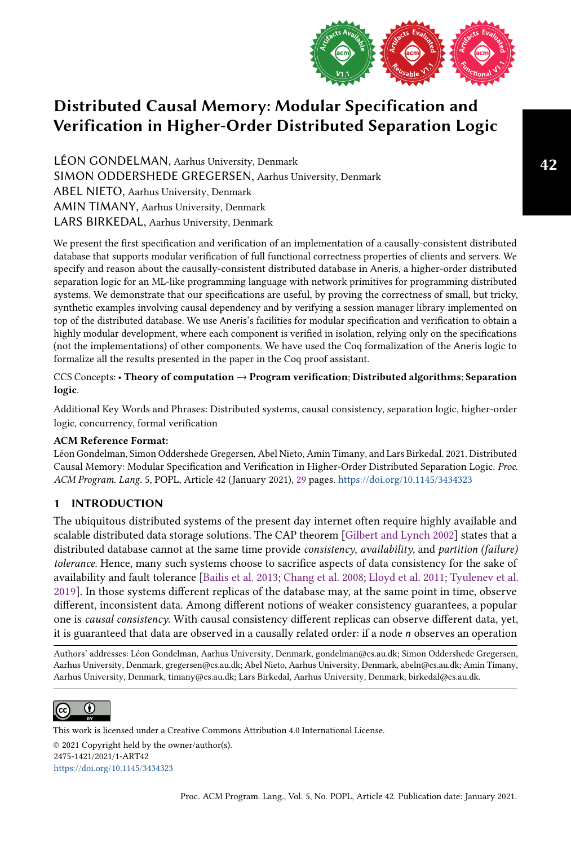

LÉON GONDELMAN, Aarhus University, Denmark SIMON ODDERSHEDE GREGERSEN, Aarhus University, Denmark ABEL NIETO, Aarhus University, Denmark AMIN TIMANY, Aarhus University, Denmark LARS BIRKEDAL, Aarhus University, Denmark

We present the first specification and verification of an implementation of a causally-consistent distributed database that supports modular verification of full functional correctness properties of clients and servers. We specify and reason about the causally-consistent distributed database in Aneris, a higher-order distributed separation logic for an ML-like programming language with network primitives for programming distributed systems. We demonstrate that our specifications are useful, by proving the correctness of small, but tricky, synthetic examples involving causal dependency and by verifying a session manager library implemented on top of the distributed database. We use Aneris's facilities for modular specification and verification to obtain a highly modular development, where each component is verified in isolation, relying only on the specifications (not the implementations) of other components. We have used the Coq formalization of the Aneris logic to formalize all the results presented in the paper in the Coq proof assistant.

CCS Concepts: • Theory of computation → Program verification; Distributed algorithms; Separation logic.

Additional Key Words and Phrases: Distributed systems, causal consistency, separation logic, higher-order logic, concurrency, formal verification

# ACM Reference Format:

Léon Gondelman, Simon Oddershede Gregersen, Abel Nieto, Amin Timany, and Lars Birkedal. 2021. Distributed Causal Memory: Modular Specification and Verification in Higher-Order Distributed Separation Logic. Proc. ACM Program. Lang. 5, POPL, Article 42 (January 2021), [29](#page-28-0) pages. <https://doi.org/10.1145/3434323>

# 1 INTRODUCTION

The ubiquitous distributed systems of the present day internet often require highly available and scalable distributed data storage solutions. The CAP theorem [\[Gilbert and Lynch 2002\]](#page-27-0) states that a distributed database cannot at the same time provide *consistency, availability*, and *partition (failure)* tolerance. Hence, many such systems choose to sacrifice aspects of data consistency for the sake of availability and fault tolerance [\[Bailis et al.](#page-26-0) [2013;](#page-26-0) [Chang et al.](#page-26-1) [2008;](#page-26-1) [Lloyd et al.](#page-28-1) [2011;](#page-28-1) [Tyulenev et al.](#page-28-2) [2019\]](#page-28-2). In those systems different replicas of the database may, at the same point in time, observe different, inconsistent data. Among different notions of weaker consistency guarantees, a popular one is causal consistency. With causal consistency different replicas can observe different data, yet, it is guaranteed that data are observed in a causally related order: if a node  $n$  observes an operation

Authors' addresses: Léon Gondelman, Aarhus University, Denmark, gondelman@cs.au.dk; Simon Oddershede Gregersen, Aarhus University, Denmark, gregersen@cs.au.dk; Abel Nieto, Aarhus University, Denmark, abeln@cs.au.dk; Amin Timany, Aarhus University, Denmark, timany@cs.au.dk; Lars Birkedal, Aarhus University, Denmark, birkedal@cs.au.dk.



This work is licensed under a Creative Commons Attribution 4.0 International License. © 2021 Copyright held by the owner/author(s). 2475-1421/2021/1-ART42 <https://doi.org/10.1145/3434323>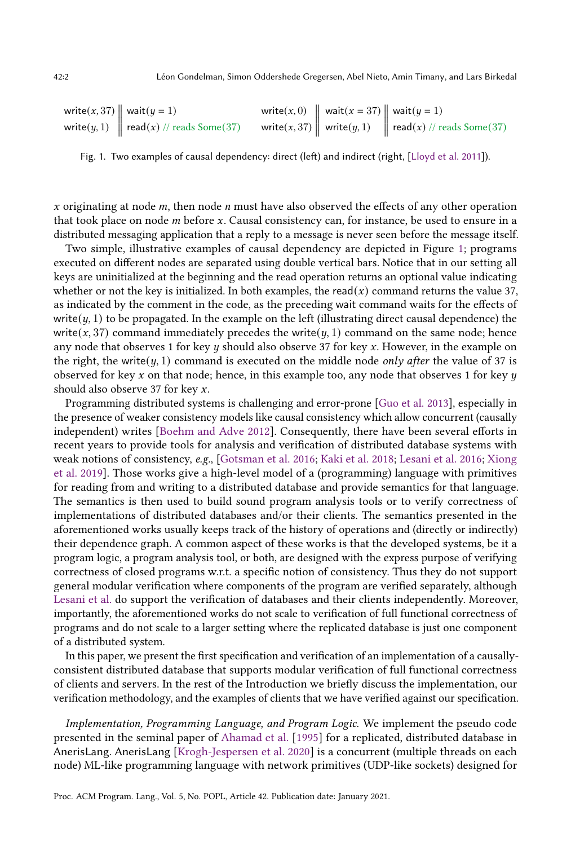<span id="page-1-0"></span>

| write(x, 37) $\parallel$ wait( $y = 1$ )          | write $(x, 0)$ $\parallel$ wait $(x = 37)$ $\parallel$ wait $(y = 1)$ |                                                                                          |
|---------------------------------------------------|-----------------------------------------------------------------------|------------------------------------------------------------------------------------------|
| write(y, 1) $\parallel$ read(x) // reads Some(37) |                                                                       | write(x, 37) write(y, 1) $\left\  \text{ read}(x) \right\ $ read(x) $\pi$ reads Some(37) |

Fig. 1. Two examples of causal dependency: direct (left) and indirect (right, [\[Lloyd et al. 2011\]](#page-28-1)).

x originating at node  $m$ , then node  $n$  must have also observed the effects of any other operation that took place on node  $m$  before  $x$ . Causal consistency can, for instance, be used to ensure in a distributed messaging application that a reply to a message is never seen before the message itself.

Two simple, illustrative examples of causal dependency are depicted in Figure [1;](#page-1-0) programs executed on different nodes are separated using double vertical bars. Notice that in our setting all keys are uninitialized at the beginning and the read operation returns an optional value indicating whether or not the key is initialized. In both examples, the read(x) command returns the value 37, as indicated by the comment in the code, as the preceding wait command waits for the effects of write( $y$ , 1) to be propagated. In the example on the left (illustrating direct causal dependence) the write(x, 37) command immediately precedes the write( $y$ , 1) command on the same node; hence any node that observes 1 for key  $y$  should also observe 37 for key  $x$ . However, in the example on the right, the write( $y$ , 1) command is executed on the middle node *only after* the value of 37 is observed for key x on that node; hence, in this example too, any node that observes 1 for key  $y$ should also observe 37 for key  $x$ .

Programming distributed systems is challenging and error-prone [\[Guo et al.](#page-27-1) [2013\]](#page-27-1), especially in the presence of weaker consistency models like causal consistency which allow concurrent (causally independent) writes [\[Boehm and Adve 2012\]](#page-26-2). Consequently, there have been several efforts in recent years to provide tools for analysis and verification of distributed database systems with weak notions of consistency, e.g., [\[Gotsman et al.](#page-27-2) [2016;](#page-27-2) [Kaki et al.](#page-27-3) [2018;](#page-27-3) [Lesani et al.](#page-28-3) [2016;](#page-28-3) [Xiong](#page-28-4) [et al.](#page-28-4) [2019\]](#page-28-4). Those works give a high-level model of a (programming) language with primitives for reading from and writing to a distributed database and provide semantics for that language. The semantics is then used to build sound program analysis tools or to verify correctness of implementations of distributed databases and/or their clients. The semantics presented in the aforementioned works usually keeps track of the history of operations and (directly or indirectly) their dependence graph. A common aspect of these works is that the developed systems, be it a program logic, a program analysis tool, or both, are designed with the express purpose of verifying correctness of closed programs w.r.t. a specific notion of consistency. Thus they do not support general modular verification where components of the program are verified separately, although [Lesani et al.](#page-28-3) do support the verification of databases and their clients independently. Moreover, importantly, the aforementioned works do not scale to verification of full functional correctness of programs and do not scale to a larger setting where the replicated database is just one component of a distributed system.

In this paper, we present the first specification and verification of an implementation of a causallyconsistent distributed database that supports modular verification of full functional correctness of clients and servers. In the rest of the Introduction we briefly discuss the implementation, our verification methodology, and the examples of clients that we have verified against our specification.

Implementation, Programming Language, and Program Logic. We implement the pseudo code presented in the seminal paper of [Ahamad et al.](#page-26-3) [\[1995\]](#page-26-3) for a replicated, distributed database in AnerisLang. AnerisLang [\[Krogh-Jespersen et al.](#page-27-4) [2020\]](#page-27-4) is a concurrent (multiple threads on each node) ML-like programming language with network primitives (UDP-like sockets) designed for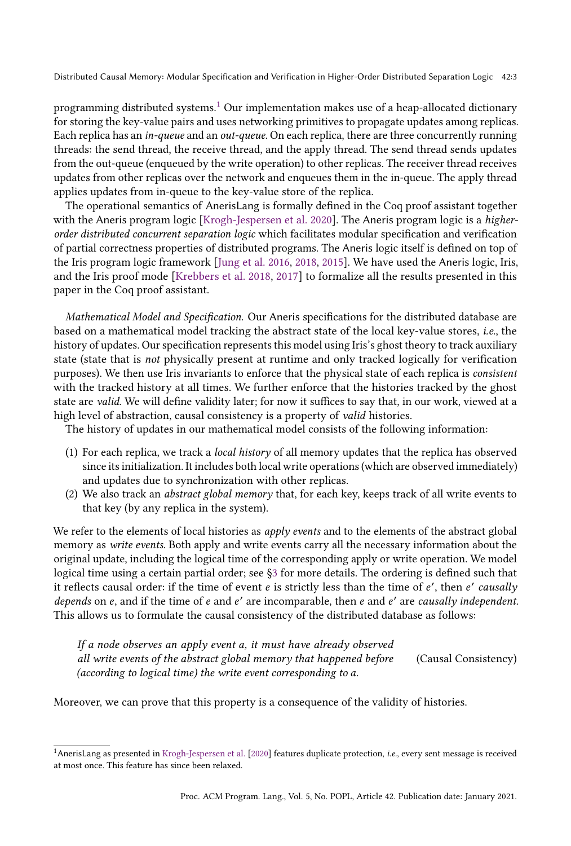programming distributed systems.[1](#page-2-0) Our implementation makes use of a heap-allocated dictionary for storing the key-value pairs and uses networking primitives to propagate updates among replicas. Each replica has an in-queue and an out-queue. On each replica, there are three concurrently running threads: the send thread, the receive thread, and the apply thread. The send thread sends updates from the out-queue (enqueued by the write operation) to other replicas. The receiver thread receives updates from other replicas over the network and enqueues them in the in-queue. The apply thread applies updates from in-queue to the key-value store of the replica.

The operational semantics of AnerisLang is formally defined in the Coq proof assistant together with the Aneris program logic [\[Krogh-Jespersen et al.](#page-27-4) [2020\]](#page-27-4). The Aneris program logic is a higherorder distributed concurrent separation logic which facilitates modular specification and verification of partial correctness properties of distributed programs. The Aneris logic itself is defined on top of the Iris program logic framework [\[Jung et al.](#page-27-5) [2016,](#page-27-5) [2018,](#page-27-6) [2015\]](#page-27-7). We have used the Aneris logic, Iris, and the Iris proof mode [\[Krebbers et al.](#page-27-8) [2018,](#page-27-8) [2017\]](#page-27-9) to formalize all the results presented in this paper in the Coq proof assistant.

Mathematical Model and Specification. Our Aneris specifications for the distributed database are based on a mathematical model tracking the abstract state of the local key-value stores, i.e., the history of updates. Our specification represents this model using Iris's ghost theory to track auxiliary state (state that is not physically present at runtime and only tracked logically for verification purposes). We then use Iris invariants to enforce that the physical state of each replica is consistent with the tracked history at all times. We further enforce that the histories tracked by the ghost state are valid. We will define validity later; for now it suffices to say that, in our work, viewed at a high level of abstraction, causal consistency is a property of valid histories.

The history of updates in our mathematical model consists of the following information:

- (1) For each replica, we track a local history of all memory updates that the replica has observed since its initialization. It includes both local write operations (which are observed immediately) and updates due to synchronization with other replicas.
- (2) We also track an abstract global memory that, for each key, keeps track of all write events to that key (by any replica in the system).

We refer to the elements of local histories as *apply events* and to the elements of the abstract global memory as write events. Both apply and write events carry all the necessary information about the original update, including the logical time of the corresponding apply or write operation. We model logical time using a certain partial order; see [ğ3](#page-6-0) for more details. The ordering is defined such that it reflects causal order: if the time of event  $e$  is strictly less than the time of  $e'$ , then  $e'$  causally depends on  $e$ , and if the time of  $e$  and  $e'$  are incomparable, then  $e$  and  $e'$  are causally independent. This allows us to formulate the causal consistency of the distributed database as follows:

If a node observes an apply event a, it must have already observed all write events of the abstract global memory that happened before (according to logical time) the write event corresponding to  $a$ . (Causal Consistency)

Moreover, we can prove that this property is a consequence of the validity of histories.

<span id="page-2-0"></span><sup>1</sup>AnerisLang as presented in [Krogh-Jespersen et al.](#page-27-4) [\[2020\]](#page-27-4) features duplicate protection, i.e., every sent message is received at most once. This feature has since been relaxed.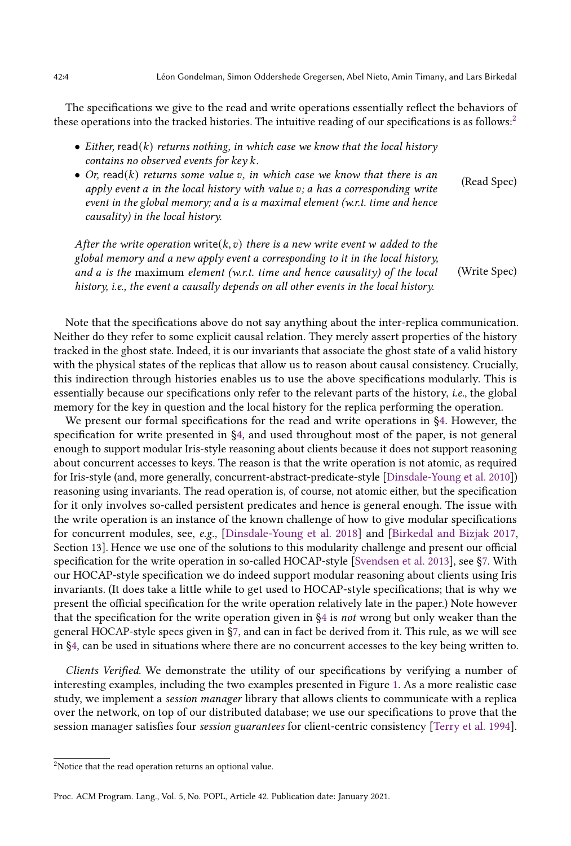The specifications we give to the read and write operations essentially reflect the behaviors of these operations into the tracked histories. The intuitive reading of our specifications is as follows:<sup>[2](#page-3-0)</sup>

- Either, read(k) returns nothing, in which case we know that the local history contains no observed events for  $key k$ .
- Or, read(k) returns some value v, in which case we know that there is an apply event  $a$  in the local history with value  $v$ ;  $a$  has a corresponding write event in the global memory; and a is a maximal element (w.r.t. time and hence causality) in the local history. (Read Spec)

After the write operation write( $k, v$ ) there is a new write event w added to the global memory and a new apply event a corresponding to it in the local history, and  $a$  is the maximum element (w.r.t. time and hence causality) of the local history, i.e., the event a causally depends on all other events in the local history. (Write Spec)

Note that the specifications above do not say anything about the inter-replica communication. Neither do they refer to some explicit causal relation. They merely assert properties of the history tracked in the ghost state. Indeed, it is our invariants that associate the ghost state of a valid history with the physical states of the replicas that allow us to reason about causal consistency. Crucially, this indirection through histories enables us to use the above specifications modularly. This is essentially because our specifications only refer to the relevant parts of the history, i.e., the global memory for the key in question and the local history for the replica performing the operation.

We present our formal specifications for the read and write operations in [ğ4.](#page-8-0) However, the specification for write presented in [ğ4,](#page-8-0) and used throughout most of the paper, is not general enough to support modular Iris-style reasoning about clients because it does not support reasoning about concurrent accesses to keys. The reason is that the write operation is not atomic, as required for Iris-style (and, more generally, concurrent-abstract-predicate-style [\[Dinsdale-Young et al.](#page-27-10) [2010\]](#page-27-10)) reasoning using invariants. The read operation is, of course, not atomic either, but the specification for it only involves so-called persistent predicates and hence is general enough. The issue with the write operation is an instance of the known challenge of how to give modular specifications for concurrent modules, see, e.g., [\[Dinsdale-Young et al.](#page-26-4) [2018\]](#page-26-4) and [\[Birkedal and Bizjak 2017,](#page-26-5) Section 13]. Hence we use one of the solutions to this modularity challenge and present our official specification for the write operation in so-called HOCAP-style [\[Svendsen et al.](#page-28-5) [2013\]](#page-28-5), see [ğ7.](#page-23-0) With our HOCAP-style specification we do indeed support modular reasoning about clients using Iris invariants. (It does take a little while to get used to HOCAP-style specifications; that is why we present the official specification for the write operation relatively late in the paper.) Note however that the specification for the write operation given in [ğ4](#page-8-0) is not wrong but only weaker than the general HOCAP-style specs given in [ğ7,](#page-23-0) and can in fact be derived from it. This rule, as we will see in [ğ4,](#page-8-0) can be used in situations where there are no concurrent accesses to the key being written to.

Clients Verified. We demonstrate the utility of our specifications by verifying a number of interesting examples, including the two examples presented in Figure [1.](#page-1-0) As a more realistic case study, we implement a session manager library that allows clients to communicate with a replica over the network, on top of our distributed database; we use our specifications to prove that the session manager satisfies four session guarantees for client-centric consistency [\[Terry et al. 1994\]](#page-28-6).

<span id="page-3-0"></span> $2$ Notice that the read operation returns an optional value.

Proc. ACM Program. Lang., Vol. 5, No. POPL, Article 42. Publication date: January 2021.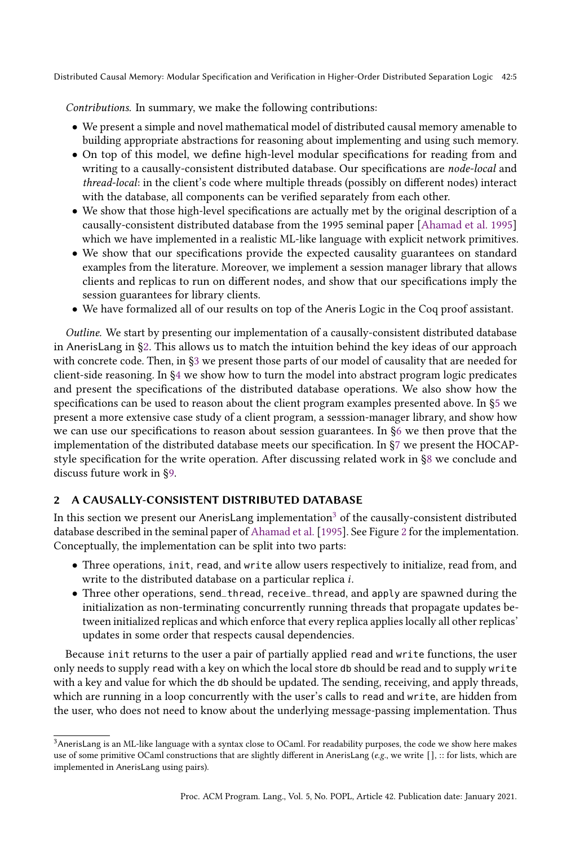Contributions. In summary, we make the following contributions:

- We present a simple and novel mathematical model of distributed causal memory amenable to building appropriate abstractions for reasoning about implementing and using such memory.
- On top of this model, we define high-level modular specifications for reading from and writing to a causally-consistent distributed database. Our specifications are node-local and thread-local: in the client's code where multiple threads (possibly on different nodes) interact with the database, all components can be verified separately from each other.
- We show that those high-level specifications are actually met by the original description of a causally-consistent distributed database from the 1995 seminal paper [\[Ahamad et al.](#page-26-3) [1995\]](#page-26-3) which we have implemented in a realistic ML-like language with explicit network primitives.
- We show that our specifications provide the expected causality guarantees on standard examples from the literature. Moreover, we implement a session manager library that allows clients and replicas to run on different nodes, and show that our specifications imply the session guarantees for library clients.
- We have formalized all of our results on top of the Aneris Logic in the Coq proof assistant.

Outline. We start by presenting our implementation of a causally-consistent distributed database in AnerisLang in [ğ2.](#page-4-0) This allows us to match the intuition behind the key ideas of our approach with concrete code. Then, in [ğ3](#page-6-0) we present those parts of our model of causality that are needed for client-side reasoning. In [ğ4](#page-8-0) we show how to turn the model into abstract program logic predicates and present the specifications of the distributed database operations. We also show how the specifications can be used to reason about the client program examples presented above. In [ğ5](#page-16-0) we present a more extensive case study of a client program, a sesssion-manager library, and show how we can use our specifications to reason about session guarantees. In [ğ6](#page-18-0) we then prove that the implementation of the distributed database meets our specification. In [ğ7](#page-23-0) we present the HOCAPstyle specification for the write operation. After discussing related work in [ğ8](#page-24-0) we conclude and discuss future work in [ğ9.](#page-25-0)

# <span id="page-4-0"></span>2 A CAUSALLY-CONSISTENT DISTRIBUTED DATABASE

In this section we present our AnerisLang implementation<sup>[3](#page-4-1)</sup> of the causally-consistent distributed database described in the seminal paper of [Ahamad et al.](#page-26-3) [\[1995\]](#page-26-3). See Figure [2](#page-5-0) for the implementation. Conceptually, the implementation can be split into two parts:

- Three operations, init, read, and write allow users respectively to initialize, read from, and write to the distributed database on a particular replica i.
- Three other operations, send\_thread, receive\_thread, and apply are spawned during the initialization as non-terminating concurrently running threads that propagate updates between initialized replicas and which enforce that every replica applies locally all other replicas' updates in some order that respects causal dependencies.

Because init returns to the user a pair of partially applied read and write functions, the user only needs to supply read with a key on which the local store db should be read and to supply write with a key and value for which the db should be updated. The sending, receiving, and apply threads, which are running in a loop concurrently with the user's calls to read and write, are hidden from the user, who does not need to know about the underlying message-passing implementation. Thus

<span id="page-4-1"></span><sup>&</sup>lt;sup>3</sup>AnerisLang is an ML-like language with a syntax close to OCaml. For readability purposes, the code we show here makes use of some primitive OCaml constructions that are slightly different in AnerisLang (e.g., we write [], :: for lists, which are implemented in AnerisLang using pairs).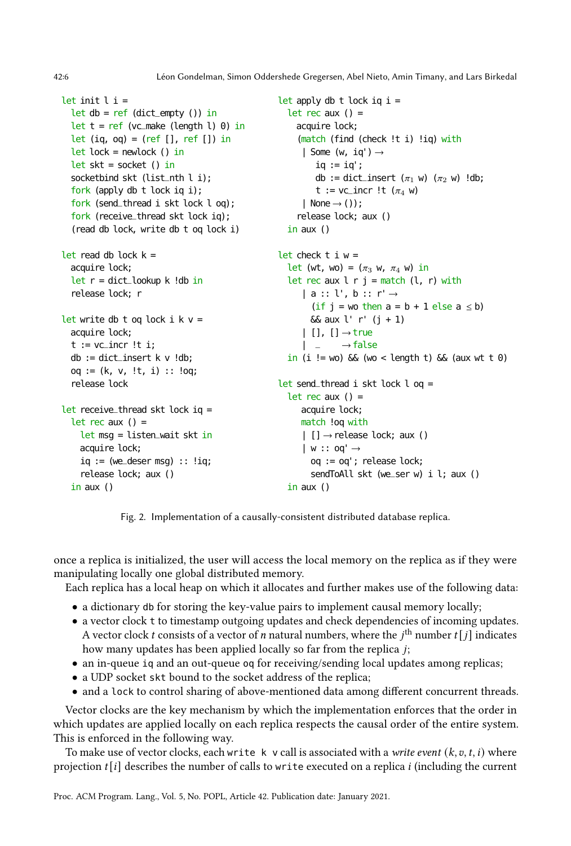42:6 Léon Gondelman, Simon Oddershede Gregersen, Abel Nieto, Amin Timany, and Lars Birkedal

```
let init l i =
 let db = ref (dict_empty ()) in
 let t = ref (vc_make (length l) \theta) in
 let (iq, oq) = (ref [], ref []) in
 let lock = newlock () in
 let skt = socket () in
 socketbind skt (list_nth l i);
 fork (apply db t lock iq i);
 fork (send_thread i skt lock l oq);
  fork (receive_thread skt lock iq);
  (read db lock, write db t oq lock i)
```

```
let read db lock k =acquire lock;
  let r = dict\_lookup k !db in
  release lock; r
```

```
let write db t oq lock i k v =acquire lock;
  t := vc_incr !t i;
 db := dict_insect k \vee !db;oq := (k, v, !t, i) :: !oq;release lock
```

```
let receive_thread skt lock iq =
 let rec aux () =let msg = listen_wait skt in
   acquire lock;
   iq := (we\_deser msq) :: 'iq;release lock; aux ()
 in aux ()
```

```
let apply db t lock iq i =
  let rec aux () =acquire lock;
     (match (find (check !t i) !iq) with
      | Some (w, iq') \rightarrowiq := iq';
         db := dict_insert (\pi_1 \vee)(\pi_2 \vee)( !db;
          t := vc_incr !t (\pi_4 \ w)| None \rightarrow ());
    release lock; aux ()
in aux ()
let check t i w =let (wt, wo) = (\pi_3 \vee \pi_4 \vee \pi_4) in
  let rec aux l \rightharpoonup j = match (l, r) with
      | a :: l', b :: r' \rightarrow(if j = w_0 then a = b + 1 else a \le b)
        & aux l' r' (j + 1)| [ ] , [ ] \rightarrow true|\quad - \quad \rightarrow false
  in (i != wo) \delta\delta (wo < length t) \delta\delta (aux wt t 0)
let send_thread i skt lock l oq =
  let rec aux () =acquire lock;
      match !oq with
     | [] \rightarrow release lock; aux ()
     |w::00' \rightarrowoq := oq'; release lock;
        sendToAll skt (we_ser w) i l; aux ()
```
Fig. 2. Implementation of a causally-consistent distributed database replica.

in aux ()

once a replica is initialized, the user will access the local memory on the replica as if they were manipulating locally one global distributed memory.

Each replica has a local heap on which it allocates and further makes use of the following data:

- a dictionary db for storing the key-value pairs to implement causal memory locally;
- a vector clock t to timestamp outgoing updates and check dependencies of incoming updates. A vector clock  $t$  consists of a vector of  $n$  natural numbers, where the  $j^{\text{th}}$  number  $t[j]$  indicates how many updates has been applied locally so far from the replica  $j$ ;
- an in-queue iq and an out-queue oq for receiving/sending local updates among replicas;
- a UDP socket skt bound to the socket address of the replica;
- and a lock to control sharing of above-mentioned data among different concurrent threads.

Vector clocks are the key mechanism by which the implementation enforces that the order in which updates are applied locally on each replica respects the causal order of the entire system. This is enforced in the following way.

To make use of vector clocks, each write  $k$  v call is associated with a write event  $(k, v, t, i)$  where projection  $t[i]$  describes the number of calls to write executed on a replica i (including the current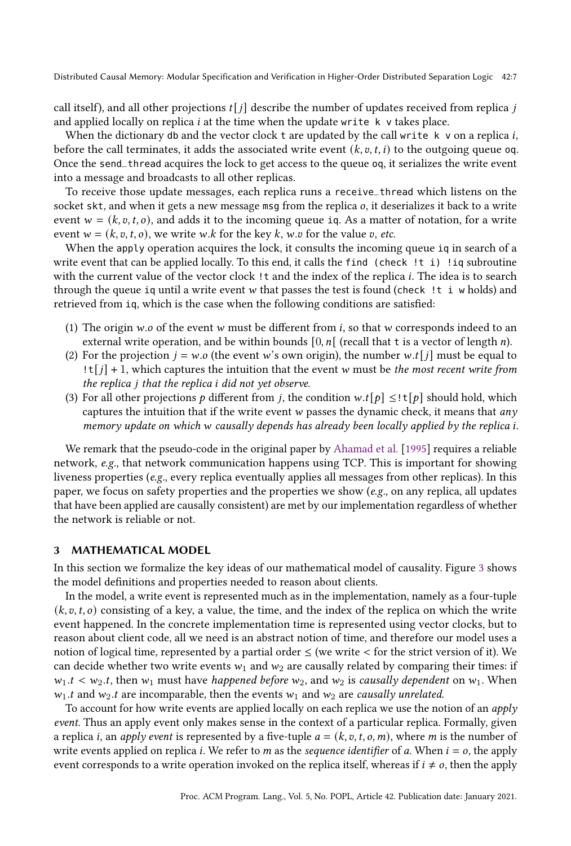call itself), and all other projections  $t[j]$  describe the number of updates received from replica j and applied locally on replica  $i$  at the time when the update write  $k$  v takes place.

When the dictionary db and the vector clock t are updated by the call write  $k \vee$  on a replica *i*, before the call terminates, it adds the associated write event  $(k, v, t, i)$  to the outgoing queue oq. Once the send\_thread acquires the lock to get access to the queue oq, it serializes the write event into a message and broadcasts to all other replicas.

To receive those update messages, each replica runs a receive\_thread which listens on the socket skt, and when it gets a new message msg from the replica  $o$ , it deserializes it back to a write event  $w = (k, v, t, o)$ , and adds it to the incoming queue iq. As a matter of notation, for a write event  $w = (k, v, t, o)$ , we write w.k for the key k, w.v for the value v, etc.

When the apply operation acquires the lock, it consults the incoming queue iq in search of a write event that can be applied locally. To this end, it calls the find (check !t i) !iq subroutine with the current value of the vector clock ! t and the index of the replica i. The idea is to search through the queue iq until a write event  $w$  that passes the test is found (check !t i w holds) and retrieved from iq, which is the case when the following conditions are satisfied:

- (1) The origin  $w.o$  of the event  $w$  must be different from  $i$ , so that  $w$  corresponds indeed to an external write operation, and be within bounds  $[0, n]$  (recall that t is a vector of length *n*).
- (2) For the projection  $j = w.o$  (the event w's own origin), the number w.t[j] must be equal to  $\lfloor t[j] + 1$ , which captures the intuition that the event w must be the most recent write from the replica  $i$  that the replica  $i$  did not yet observe.
- (3) For all other projections *p* different from *j*, the condition  $w.t[p] \leq \pm [p]$  should hold, which captures the intuition that if the write event  $w$  passes the dynamic check, it means that  $an v$ memory update on which  $w$  causally depends has already been locally applied by the replica i.

We remark that the pseudo-code in the original paper by [Ahamad et al.](#page-26-3) [\[1995\]](#page-26-3) requires a reliable network, e.g., that network communication happens using TCP. This is important for showing liveness properties (e.g., every replica eventually applies all messages from other replicas). In this paper, we focus on safety properties and the properties we show ( $e.g.,$  on any replica, all updates that have been applied are causally consistent) are met by our implementation regardless of whether the network is reliable or not.

# <span id="page-6-0"></span>3 MATHEMATICAL MODEL

In this section we formalize the key ideas of our mathematical model of causality. Figure [3](#page-7-0) shows the model definitions and properties needed to reason about clients.

In the model, a write event is represented much as in the implementation, namely as a four-tuple  $(k, v, t, o)$  consisting of a key, a value, the time, and the index of the replica on which the write event happened. In the concrete implementation time is represented using vector clocks, but to reason about client code, all we need is an abstract notion of time, and therefore our model uses a notion of logical time, represented by a partial order  $\leq$  (we write  $\lt$  for the strict version of it). We can decide whether two write events  $w_1$  and  $w_2$  are causally related by comparing their times: if  $w_1.t < w_2.t$ , then  $w_1$  must have happened before  $w_2$ , and  $w_2$  is causally dependent on  $w_1$ . When  $w_1$ .t and  $w_2$ .t are incomparable, then the events  $w_1$  and  $w_2$  are causally unrelated.

To account for how write events are applied locally on each replica we use the notion of an *apply* event. Thus an apply event only makes sense in the context of a particular replica. Formally, given a replica *i*, an *apply event* is represented by a five-tuple  $a = (k, v, t, o, m)$ , where *m* is the number of write events applied on replica *i*. We refer to *m* as the *sequence identifier* of *a*. When  $i = o$ , the apply event corresponds to a write operation invoked on the replica itself, whereas if  $i \neq o$ , then the apply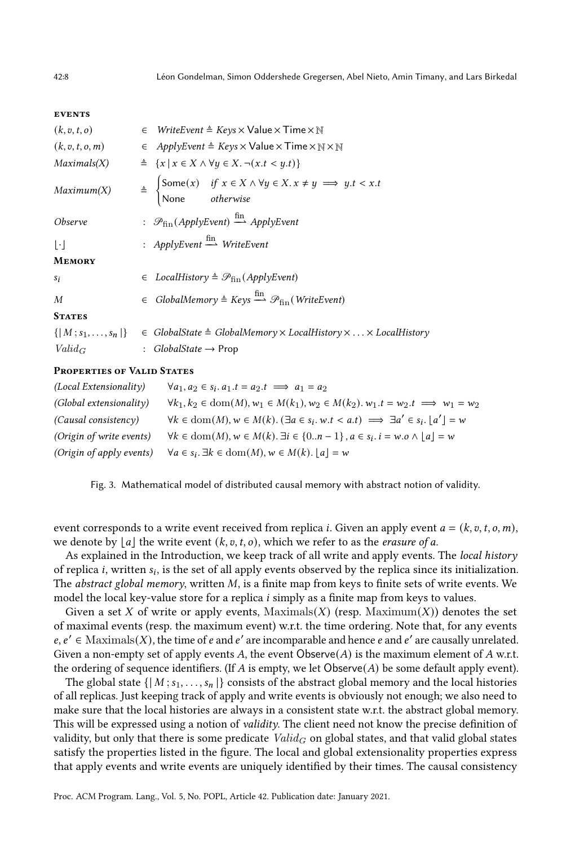#### <span id="page-7-0"></span>**EVENTS**

| (k, v, t, o)                | $\in$ Write Event $\triangleq$ Keys $\times$ Value $\times$ Time $\times$ N                                                                                     |
|-----------------------------|-----------------------------------------------------------------------------------------------------------------------------------------------------------------|
| (k, v, t, o, m)             | $\in$ ApplyEvent $\triangleq$ Keys $\times$ Value $\times$ Time $\times \mathbb{N} \times \mathbb{N}$                                                           |
| Maximals(X)                 | $\triangleq \{x \mid x \in X \land \forall y \in X. \neg (x.t < y.t)\}\$                                                                                        |
| Maximum(X)                  | $\triangleq \begin{cases} \text{Some}(x) & \text{if } x \in X \land \forall y \in X. x \neq y \implies y.t < x.t \\ \text{None} & \text{otherwise} \end{cases}$ |
| <i>Observe</i>              | : $\mathcal{P}_{fin}(ApplyEvent) \stackrel{\text{fin}}{\longrightarrow} Apply Event$                                                                            |
| $\lceil \cdot \rceil$       | : $ApplyEvent \stackrel{\text{fin}}{\longrightarrow} WriteEvent$                                                                                                |
| <b>MEMORY</b>               |                                                                                                                                                                 |
| Si                          | $\in$ LocalHistory $\triangleq \mathcal{P}_{fin}(ApplyEvent)$                                                                                                   |
| M                           | $\in$ GlobalMemory $\triangleq$ Keys $\stackrel{\text{fin}}{\longrightarrow}$ $\mathcal{P}_{\text{fin}}$ (WriteEvent)                                           |
| <b>STATES</b>               |                                                                                                                                                                 |
| $\{ M; s_1, \ldots, s_n \}$ | $\in$ GlobalState $\triangleq$ GlobalMemory $\times$ LocalHistory $\times \ldots \times$ LocalHistory                                                           |
| $Valid_G$                   | : <i>GlobalState</i> $\rightarrow$ Prop                                                                                                                         |
|                             |                                                                                                                                                                 |

## Properties of Valid States

| (Local Extensionality)   | $\forall a_1, a_2 \in s_i$ . $a_1.t = a_2.t \implies a_1 = a_2$                                                                     |
|--------------------------|-------------------------------------------------------------------------------------------------------------------------------------|
| (Global extensionality)  | $\forall k_1, k_2 \in \text{dom}(M), w_1 \in M(k_1), w_2 \in M(k_2), w_1.t = w_2.t \implies w_1 = w_2$                              |
| (Causal consistency)     | $\forall k \in \text{dom}(M), w \in M(k)$ . $(\exists a \in s_i, w.t < a.t) \implies \exists a' \in s_i$ . $\lfloor a' \rfloor = w$ |
| (Origin of write events) | $\forall k \in \text{dom}(M), w \in M(k)$ . $\exists i \in \{0n-1\}, a \in s_i$ . $i = w.o \land [a] = w$                           |
| (Origin of apply events) | $\forall a \in s_i$ . $\exists k \in \text{dom}(M), w \in M(k)$ . $ a  = w$                                                         |

Fig. 3. Mathematical model of distributed causal memory with abstract notion of validity.

event corresponds to a write event received from replica *i*. Given an apply event  $a = (k, v, t, o, m)$ , we denote by  $|a|$  the write event  $(k, v, t, o)$ , which we refer to as the *erasure of a*.

As explained in the Introduction, we keep track of all write and apply events. The local history of replica  $i$ , written  $s_i$ , is the set of all apply events observed by the replica since its initialization. The *abstract global memory*, written  $M$ , is a finite map from keys to finite sets of write events. We model the local key-value store for a replica  $i$  simply as a finite map from keys to values.

Given a set X of write or apply events,  $Maximals(X)$  (resp.  $Maximum(X)$ ) denotes the set of maximal events (resp. the maximum event) w.r.t. the time ordering. Note that, for any events  $e, e' \in$  Maximals(X), the time of  $e$  and  $e'$  are incomparable and hence  $e$  and  $e'$  are causally unrelated. Given a non-empty set of apply events A, the event Observe( $A$ ) is the maximum element of A w.r.t. the ordering of sequence identifiers. (If A is empty, we let Observe(A) be some default apply event).

The global state  $\{ |M; s_1, \ldots, s_n| \}$  consists of the abstract global memory and the local histories of all replicas. Just keeping track of apply and write events is obviously not enough; we also need to make sure that the local histories are always in a consistent state w.r.t. the abstract global memory. This will be expressed using a notion of validity. The client need not know the precise definition of validity, but only that there is some predicate  $Valid_G$  on global states, and that valid global states satisfy the properties listed in the figure. The local and global extensionality properties express that apply events and write events are uniquely identified by their times. The causal consistency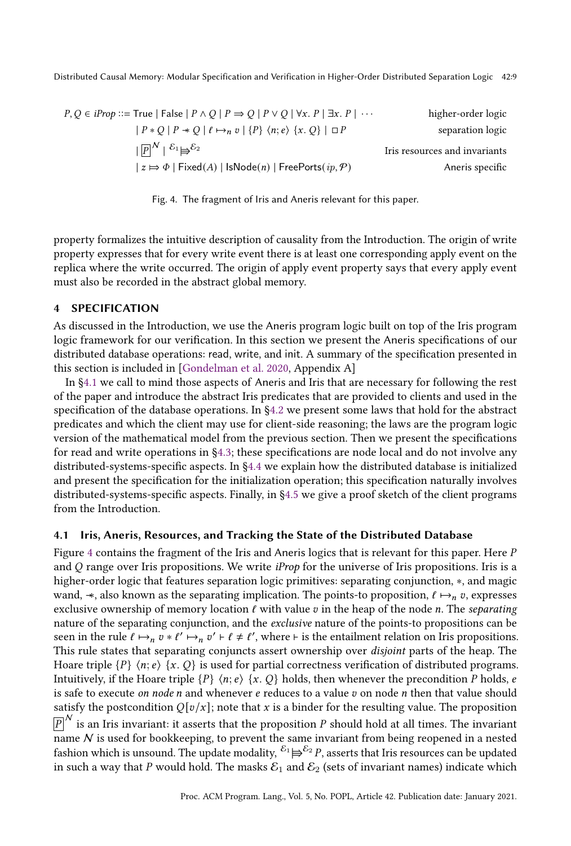<span id="page-8-2"></span>

| $P, Q \in iProp ::= True \mid False \mid P \land Q \mid P \Rightarrow Q \mid P \lor Q \mid \forall x. P \mid \exists x. P \mid \cdots$ | higher-order logic            |
|----------------------------------------------------------------------------------------------------------------------------------------|-------------------------------|
| $ P * Q  P \rightarrow Q   \ell \mapsto_n v   \{P\} \langle n; e \rangle \{x, Q\}   \square P$                                         | separation logic              |
| $ \overline{P} ^N \mid \mathcal{E}_1 \mapsto \mathcal{E}_2$                                                                            | Iris resources and invariants |
| $ z \mapsto \Phi $ Fixed(A)   IsNode(n)   FreePorts( $ip, P$ )                                                                         | Aneris specific               |

Fig. 4. The fragment of Iris and Aneris relevant for this paper.

property formalizes the intuitive description of causality from the Introduction. The origin of write property expresses that for every write event there is at least one corresponding apply event on the replica where the write occurred. The origin of apply event property says that every apply event must also be recorded in the abstract global memory.

# <span id="page-8-0"></span>4 SPECIFICATION

As discussed in the Introduction, we use the Aneris program logic built on top of the Iris program logic framework for our verification. In this section we present the Aneris specifications of our distributed database operations: read, write, and init. A summary of the specification presented in this section is included in [\[Gondelman et al. 2020,](#page-27-11) Appendix A]

In [ğ4.1](#page-8-1) we call to mind those aspects of Aneris and Iris that are necessary for following the rest of the paper and introduce the abstract Iris predicates that are provided to clients and used in the specification of the database operations. In [ğ4.2](#page-10-0) we present some laws that hold for the abstract predicates and which the client may use for client-side reasoning; the laws are the program logic version of the mathematical model from the previous section. Then we present the specifications for read and write operations in [ğ4.3;](#page-11-0) these specifications are node local and do not involve any distributed-systems-specific aspects. In [ğ4.4](#page-12-0) we explain how the distributed database is initialized and present the specification for the initialization operation; this specification naturally involves distributed-systems-specific aspects. Finally, in [ğ4.5](#page-13-0) we give a proof sketch of the client programs from the Introduction.

# <span id="page-8-1"></span>4.1 Iris, Aneris, Resources, and Tracking the State of the Distributed Database

Figure [4](#page-8-2) contains the fragment of the Iris and Aneris logics that is relevant for this paper. Here  $P$ and  $O$  range over Iris propositions. We write *iProp* for the universe of Iris propositions. Iris is a higher-order logic that features separation logic primitives: separating conjunction, ∗, and magic wand,  $\ast$ , also known as the separating implication. The points-to proposition,  $\ell \mapsto_{n} v$ , expresses exclusive ownership of memory location  $\ell$  with value  $v$  in the heap of the node *n*. The *separating* nature of the separating conjunction, and the exclusive nature of the points-to propositions can be seen in the rule  $\ell \mapsto_n v * \ell' \mapsto_n v' \vdash \ell \neq \ell'$ , where  $\vdash$  is the entailment relation on Iris propositions. This rule states that separating conjuncts assert ownership over disjoint parts of the heap. The Hoare triple  $\{P\}$   $\langle n; e \rangle$   $\{x, Q\}$  is used for partial correctness verification of distributed programs. Intuitively, if the Hoare triple  $\{P\}$   $\langle n; e \rangle$   $\{x, Q\}$  holds, then whenever the precondition P holds, e is safe to execute on node  $n$  and whenever  $e$  reduces to a value  $v$  on node  $n$  then that value should satisfy the postcondition  $Q[v/x]$ ; note that x is a binder for the resulting value. The proposition  $\overline{P}\vphantom{P}^N$  is an Iris invariant: it asserts that the proposition  $P$  should hold at all times. The invariant name  $N$  is used for bookkeeping, to prevent the same invariant from being reopened in a nested fashion which is unsound. The update modality,  ${}^{{\cal E}_1} \Longrightarrow ^{{\cal E}_2} P$ , asserts that Iris resources can be updated in such a way that P would hold. The masks  $\mathcal{E}_1$  and  $\mathcal{E}_2$  (sets of invariant names) indicate which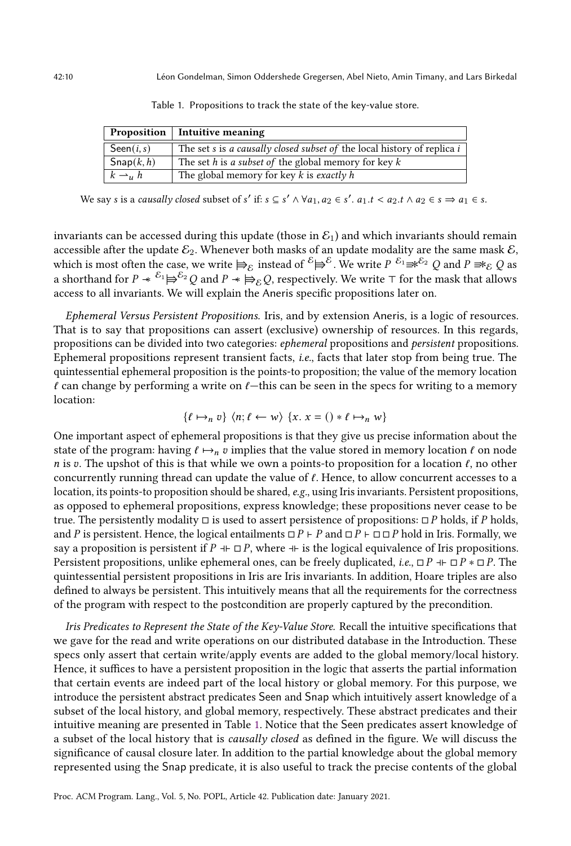<span id="page-9-0"></span>

|                         | Proposition   Intuitive meaning                                         |
|-------------------------|-------------------------------------------------------------------------|
| $\mathsf{Seen}(i, s)$   | The set s is a causally closed subset of the local history of replica i |
| $\mathsf{Snap}(k, h)$   | The set h is a subset of the global memory for key $k$                  |
| $k \rightharpoonup_u h$ | The global memory for key $k$ is exactly h                              |

Table 1. Propositions to track the state of the key-value store.

We say s is a causally closed subset of s' if:  $s \subseteq s' \land \forall a_1, a_2 \in s'$ .  $a_1.t < a_2.t \land a_2 \in s \Rightarrow a_1 \in s$ .

invariants can be accessed during this update (those in  $\mathcal{E}_1$ ) and which invariants should remain accessible after the update  $\mathcal{E}_2$ . Whenever both masks of an update modality are the same mask  $\mathcal{E}$ , which is most often the case, we write  $\models_{\mathcal{E}}$  instead of  ${}^{\mathcal{E}}\models^{\mathcal{E}}$ . We write  $P\stackrel{\mathcal{E}_1}{\Rightarrow}{}^{\mathcal{E}_2}\mathcal{Q}$  and  $P\Rightarrow_{\mathcal{E}}\mathcal{Q}$  as a shorthand for  $P \ast {}^{E_1} \Longrightarrow {}^{E_2} Q$  and  $P \ast \Longrightarrow_E Q$ , respectively. We write ⊤ for the mask that allows access to all invariants. We will explain the Aneris specific propositions later on.

Ephemeral Versus Persistent Propositions. Iris, and by extension Aneris, is a logic of resources. That is to say that propositions can assert (exclusive) ownership of resources. In this regards, propositions can be divided into two categories: ephemeral propositions and persistent propositions. Ephemeral propositions represent transient facts, i.e., facts that later stop from being true. The quintessential ephemeral proposition is the points-to proposition; the value of the memory location  $\ell$  can change by performing a write on  $\ell$ —this can be seen in the specs for writing to a memory location:

$$
\{\ell \mapsto_n v\} \langle n; \ell \leftarrow w \rangle \{x. \ x = () * \ell \mapsto_n w\}
$$

One important aspect of ephemeral propositions is that they give us precise information about the state of the program: having  $\ell \mapsto_n v$  implies that the value stored in memory location  $\ell$  on node *n* is v. The upshot of this is that while we own a points-to proposition for a location  $\ell$ , no other concurrently running thread can update the value of  $\ell$ . Hence, to allow concurrent accesses to a location, its points-to proposition should be shared, e.g., using Iris invariants. Persistent propositions, as opposed to ephemeral propositions, express knowledge; these propositions never cease to be true. The persistently modality  $\Box$  is used to assert persistence of propositions:  $\Box P$  holds, if  $P$  holds, and P is persistent. Hence, the logical entailments  $\Box P \vdash P$  and  $\Box P \vdash \Box \Box P$  hold in Iris. Formally, we say a proposition is persistent if  $P \dashv \Box P$ , where  $\dashv \vdash$  is the logical equivalence of Iris propositions. Persistent propositions, unlike ephemeral ones, can be freely duplicated, *i.e.*,  $\Box P \dashv \Box P \ast \Box P$ . The quintessential persistent propositions in Iris are Iris invariants. In addition, Hoare triples are also defined to always be persistent. This intuitively means that all the requirements for the correctness of the program with respect to the postcondition are properly captured by the precondition.

Iris Predicates to Represent the State of the Key-Value Store. Recall the intuitive specifications that we gave for the read and write operations on our distributed database in the Introduction. These specs only assert that certain write/apply events are added to the global memory/local history. Hence, it suffices to have a persistent proposition in the logic that asserts the partial information that certain events are indeed part of the local history or global memory. For this purpose, we introduce the persistent abstract predicates Seen and Snap which intuitively assert knowledge of a subset of the local history, and global memory, respectively. These abstract predicates and their intuitive meaning are presented in Table [1.](#page-9-0) Notice that the Seen predicates assert knowledge of a subset of the local history that is causally closed as defined in the figure. We will discuss the significance of causal closure later. In addition to the partial knowledge about the global memory represented using the Snap predicate, it is also useful to track the precise contents of the global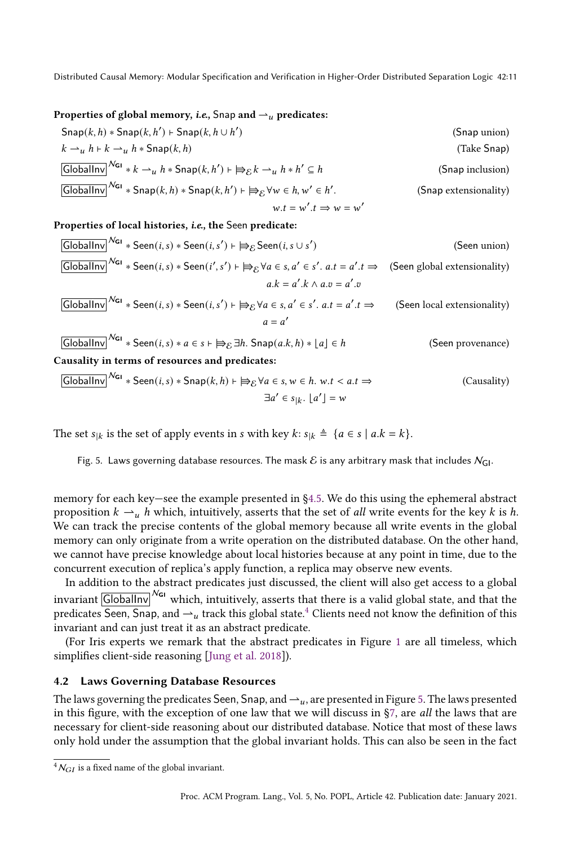#### <span id="page-10-2"></span>Properties of global memory, *i.e.*, Snap and  $\rightarrow$  *u* predicates:

$$
Span(k, h) * \text{Snap}(k, h') \vdash \text{Snap}(k, h \cup h')
$$
 (Snap union)  
\n
$$
k \rightarrow_{u} h + k \rightarrow_{u} h * \text{Snap}(k, h)
$$
 (Take Snap)  
\n
$$
\boxed{\text{GlobalInv}^{N_{\text{GI}}} * k \rightarrow_{u} h * \text{Snap}(k, h') \vdash \text{B}_{\mathcal{E}} k \rightarrow_{u} h * h' \subseteq h}
$$
 (Snap inclusion)  
\n
$$
\boxed{\text{GlobalInv}^{N_{\text{GI}}} * \text{Snap}(k, h) * \text{Snap}(k, h') \vdash \text{B}_{\mathcal{E}} \forall w \in h, w' \in h'.
$$
 (Snap extensionality)  
\n
$$
w.t = w'.t \Rightarrow w = w'
$$

#### Properties of local histories, *i.e.*, the Seen predicate:

| GlobalInv                                       | Na        | * $Seen(i, s) * Seen(i, s') \mapsto B_{\mathcal{E}}$ $Seen(i, s \cup s')$                                                             | (Seen union)                                                                                                                        |
|-------------------------------------------------|-----------|---------------------------------------------------------------------------------------------------------------------------------------|-------------------------------------------------------------------------------------------------------------------------------------|
| GlobalInv                                       | Na        | * $Seen(i, s) * Seen(i', s') \mapsto B_{\mathcal{E}} \forall a \in s, a' \in s', a.t = a'.t \Rightarrow$ (Seen global extensionality) |                                                                                                                                     |
| $a.k = a'.k \land a.v = a'.v$                   | GlobalInv | Na                                                                                                                                    | * $Seen(i, s) * Seen(i, s') \mapsto B_{\mathcal{E}} \forall a \in s, a' \in s', a.t = a'.t \Rightarrow$ (Seen local extensionality) |
| $a = a'$                                        | GlobalInv | Na                                                                                                                                    | * $Seen(i, s) * a \in s \mapsto B_{\mathcal{E}} \exists h$ . $Span(a.k, h) * \lfloor a \rfloor \in h$ (Seen provenance)             |
| Causality in terms of resources and predicates: | Ma.s.     |                                                                                                                                       |                                                                                                                                     |

$$
\boxed{\text{GlobalInv}}^{\mathcal{N}_{\text{GI}}} * \text{Seen}(i, s) * \text{Snap}(k, h) \vdash \text{B}_{\mathcal{E}} \forall a \in s, w \in h. w.t < a.t \Rightarrow
$$
\n
$$
\exists a' \in s_{|k}. \lfloor a' \rfloor = w
$$
\n(Causality)

The set  $s_{ik}$  is the set of apply events in *s* with key  $k: s_{ik} \triangleq \{a \in s \mid a.k = k\}.$ 

Fig. 5. Laws governing database resources. The mask  $\mathcal E$  is any arbitrary mask that includes  $N_{\text{GI}}$ .

memory for each key–see the example presented in §4.5. We do this using the ephemeral abstract proposition  $k \rightharpoonup_u h$  which, intuitively, asserts that the set of all write events for the key  $k$  is  $h$ . We can track the precise contents of the global memory because all write events in the global memory can only originate from a write operation on the distributed database. On the other hand, we cannot have precise knowledge about local histories because at any point in time, due to the concurrent execution of replica's apply function, a replica may observe new events.

In addition to the abstract predicates just discussed, the client will also get access to a global invariant  $\boxed{\text{GlobalInv}}^{\text{N}}$  which, intuitively, asserts that there is a valid global state, and that the predicates Seen, Snap, and  $\rightarrow$  track this global state.<sup>[4](#page-10-1)</sup> Clients need not know the definition of this invariant and can just treat it as an abstract predicate.

(For Iris experts we remark that the abstract predicates in Figure [1](#page-9-0) are all timeless, which simplifies client-side reasoning [\[Jung et al. 2018\]](#page-27-6)).

# <span id="page-10-0"></span>4.2 Laws Governing Database Resources

The laws governing the predicates Seen, Snap, and  $\rightarrow u$ , are presented in Figure [5.](#page-10-2) The laws presented in this figure, with the exception of one law that we will discuss in [ğ7,](#page-23-0) are all the laws that are necessary for client-side reasoning about our distributed database. Notice that most of these laws only hold under the assumption that the global invariant holds. This can also be seen in the fact

<span id="page-10-1"></span> ${}^4N_{GI}$  is a fixed name of the global invariant.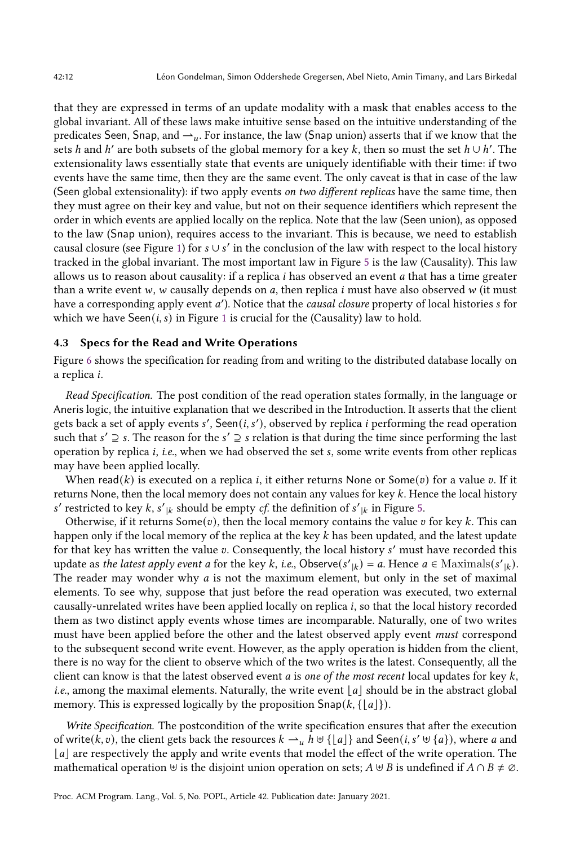that they are expressed in terms of an update modality with a mask that enables access to the global invariant. All of these laws make intuitive sense based on the intuitive understanding of the predicates Seen, Snap, and  $\rightarrow u$ . For instance, the law (Snap union) asserts that if we know that the sets h and h' are both subsets of the global memory for a key k, then so must the set  $h \cup h'$ . The extensionality laws essentially state that events are uniquely identifiable with their time: if two events have the same time, then they are the same event. The only caveat is that in case of the law (Seen global extensionality): if two apply events on two different replicas have the same time, then they must agree on their key and value, but not on their sequence identifiers which represent the order in which events are applied locally on the replica. Note that the law (Seen union), as opposed to the law (Snap union), requires access to the invariant. This is because, we need to establish causal closure (see Figure [1\)](#page-9-0) for  $s \cup s'$  in the conclusion of the law with respect to the local history tracked in the global invariant. The most important law in Figure [5](#page-10-2) is the law (Causality). This law allows us to reason about causality: if a replica  $i$  has observed an event  $a$  that has a time greater than a write event  $w$ ,  $w$  causally depends on  $a$ , then replica  $i$  must have also observed  $w$  (it must have a corresponding apply event a'). Notice that the *causal closure* property of local histories  $s$  for which we have Seen( $i, s$ ) in Figure [1](#page-9-0) is crucial for the (Causality) law to hold.

#### <span id="page-11-0"></span>4.3 Specs for the Read and Write Operations

Figure [6](#page-12-1) shows the specification for reading from and writing to the distributed database locally on a replica *i*.

Read Specification. The post condition of the read operation states formally, in the language or Aneris logic, the intuitive explanation that we described in the Introduction. It asserts that the client gets back a set of apply events s', Seen $(i, s')$ , observed by replica i performing the read operation such that  $s' \supseteq s$ . The reason for the  $s' \supseteq s$  relation is that during the time since performing the last operation by replica  $i$ ,  $i.e.$ , when we had observed the set  $s$ , some write events from other replicas may have been applied locally.

When read(k) is executed on a replica *i*, it either returns None or Some(v) for a value v. If it returns None, then the local memory does not contain any values for key k. Hence the local history s' restricted to key  $k$ ,  $s'|_k$  should be empty *cf*. the definition of  $s'|_k$  in Figure [5.](#page-10-2)

Otherwise, if it returns Some(v), then the local memory contains the value v for key k. This can happen only if the local memory of the replica at the key  $k$  has been updated, and the latest update for that key has written the value v. Consequently, the local history s' must have recorded this update as the latest apply event a for the key k, i.e., Observe(s'<sub>|k</sub>) = a. Hence  $a \in \text{Maximals}(s'_{|k})$ . The reader may wonder why  $a$  is not the maximum element, but only in the set of maximal elements. To see why, suppose that just before the read operation was executed, two external causally-unrelated writes have been applied locally on replica *i*, so that the local history recorded them as two distinct apply events whose times are incomparable. Naturally, one of two writes must have been applied before the other and the latest observed apply event must correspond to the subsequent second write event. However, as the apply operation is hidden from the client, there is no way for the client to observe which of the two writes is the latest. Consequently, all the client can know is that the latest observed event  $a$  is one of the most recent local updates for key  $k$ , *i.e.*, among the maximal elements. Naturally, the write event  $|a|$  should be in the abstract global memory. This is expressed logically by the proposition  $\textsf{Snap}(k, \{\lfloor a\rfloor\}).$ 

Write Specification. The postcondition of the write specification ensures that after the execution of write(k, v), the client gets back the resources  $k \rightharpoonup_u h \uplus \{\lfloor a\rfloor\}$  and Seen(i, s'  $\uplus \{a\}$ ), where a and | a| are respectively the apply and write events that model the effect of the write operation. The mathematical operation  $\forall$  is the disjoint union operation on sets;  $A \forall B$  is undefined if  $A \cap B \neq \emptyset$ .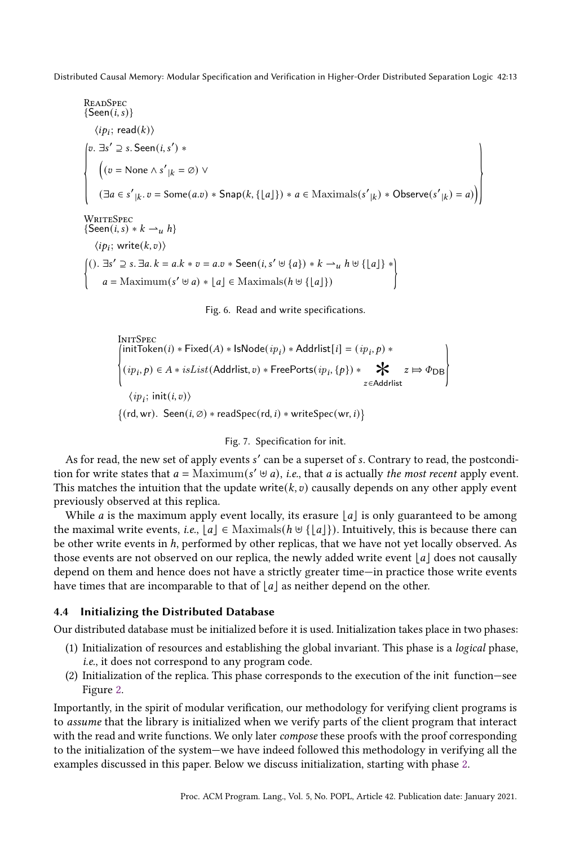<span id="page-12-1"></span>READSpec  
\n{Seen(i, s)}  
\n
$$
\langle ip_i; read(k) \rangle
$$
  
\n $\left\{\n\begin{aligned}\n& \text{elsen}(i, s') & * \\
& \left( (v = \text{None} \land s' \mid k = \emptyset) \lor \right.\n\end{aligned}\n\right.\n\left.\n\left\{\n\begin{aligned}\n& \text{if } (v = \text{None} \land s' \mid k = \emptyset) \lor \\
& \left( \exists a \in s' \mid k, v = \text{Some}(a.v) * \text{Span}(k, \{[a]\}) * a \in \text{Maximals}(s' \mid k) * \text{Observe}(s' \mid k) = a) \right)\n\end{aligned}\n\right\}$ 

<span id="page-12-5"></span>**WRITESPEC**  ${Seen(i, s) * k \rightharpoonup_h}$  $\langle ip_i; \text{write}(k, v) \rangle$  $\mathbf{I}$ ().  $\exists s' \supseteq s$ .  $\exists a. k = a.k * v = a.v * \text{Seen}(i, s' \cup \{a\}) * k \rightarrow u h \cup \{\lfloor a\rfloor\} *$  $a =$ Maximum( $s' \cup a$ ) \*  $\lfloor a \rfloor$  ∈ Maximals( $h \cup \{\lfloor a \rfloor\}$ )  $\qquad \qquad$ 

Fig. 6. Read and write specifications.

<span id="page-12-3"></span>
$$
\begin{array}{l} \text{InITSpec} \\ \left\{\begin{aligned} &\text{initToken}(i) * \text{Fixed}(A) * \text{IsNode}(ip_i) * \text{Additionally}(i) = (ip_i, p) * \\ &\left( ip_i, p \right) \in A * \text{ isList}(\text{Additionally, } v) * \text{FreePorts}(ip_i, \{p\}) * \qquad \bigstar \qquad z \mapsto \Phi_{\text{DB}} \right\} \\ &\langle ip_i; \text{ init}(i, v) \rangle \\ &\{\text{(rd, wr).} \text{ Seen}(i, \emptyset) * \text{readSpec}(\text{rd}, i) * \text{writeSpec}(\text{wr}, i)\}\end{aligned}\end{array}
$$

# Fig. 7. Specification for init.

As for read, the new set of apply events s' can be a superset of s. Contrary to read, the postcondition for write states that  $a = \text{Maximum}(s' \cup a)$ , *i.e.*, that a is actually the most recent apply event. This matches the intuition that the update write( $k, v$ ) causally depends on any other apply event previously observed at this replica.

While *a* is the maximum apply event locally, its erasure  $|a|$  is only guaranteed to be among the maximal write events, i.e.,  $|a| \in$  Maximals $(h \cup \{ |a| \})$ . Intuitively, this is because there can be other write events in  $h$ , performed by other replicas, that we have not yet locally observed. As those events are not observed on our replica, the newly added write event  $\lfloor a \rfloor$  does not causally depend on them and hence does not have a strictly greater time—in practice those write events have times that are incomparable to that of  $\lfloor a \rfloor$  as neither depend on the other.

# <span id="page-12-0"></span>4.4 Initializing the Distributed Database

Our distributed database must be initialized before it is used. Initialization takes place in two phases:

- <span id="page-12-4"></span>(1) Initialization of resources and establishing the global invariant. This phase is a logical phase, i.e., it does not correspond to any program code.
- <span id="page-12-2"></span> $(2)$  Initialization of the replica. This phase corresponds to the execution of the init function–see Figure [2.](#page-5-0)

Importantly, in the spirit of modular verification, our methodology for verifying client programs is to assume that the library is initialized when we verify parts of the client program that interact with the read and write functions. We only later *compose* these proofs with the proof corresponding to the initialization of the system–we have indeed followed this methodology in verifying all the examples discussed in this paper. Below we discuss initialization, starting with phase [2.](#page-12-2)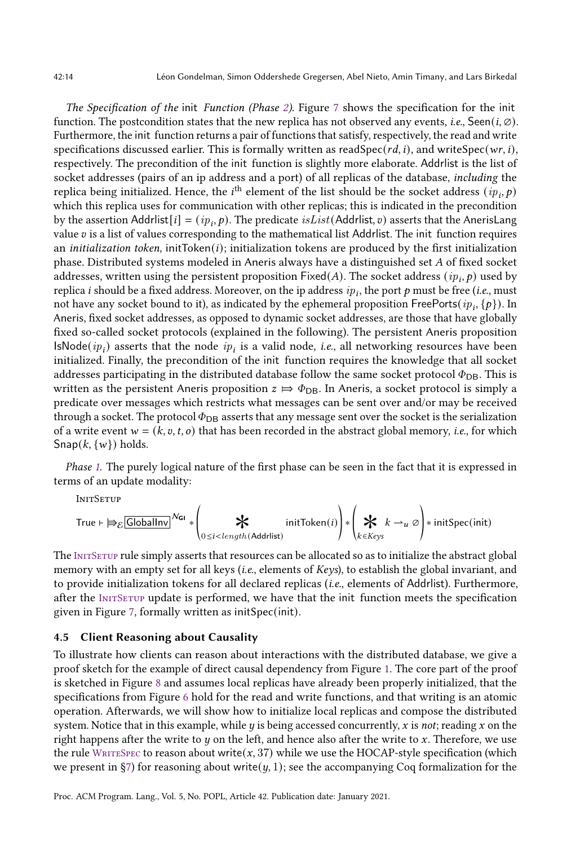The Specification of the init Function (Phase [2\)](#page-12-2). Figure [7](#page-12-3) shows the specification for the init function. The postcondition states that the new replica has not observed any events, i.e., Seen(i,  $\emptyset$ ). Furthermore, the init function returns a pair of functions that satisfy, respectively, the read and write specifications discussed earlier. This is formally written as readSpec( $rd$ , i), and writeSpec( $wr$ , i), respectively. The precondition of the init function is slightly more elaborate. Addrlist is the list of socket addresses (pairs of an ip address and a port) of all replicas of the database, including the replica being initialized. Hence, the  $i^{\text{th}}$  element of the list should be the socket address  $(ip_i, p)$ which this replica uses for communication with other replicas; this is indicated in the precondition by the assertion Addrlist $[i] = (ip_i, p)$ . The predicate  $isList(Addr)$  asserts that the AnerisLang value  $v$  is a list of values corresponding to the mathematical list Addrlist. The init function requires an *initialization token*, initToken $(i)$ ; initialization tokens are produced by the first initialization phase. Distributed systems modeled in Aneris always have a distinguished set  $A$  of fixed socket addresses, written using the persistent proposition  $\mathsf{Fixed}(A).$  The socket address  $(\emph{ip}_{i},p)$  used by replica  $i$  should be a fixed address. Moreover, on the ip address  $ip_i,$  the port  $p$  must be free (*i.e.*, must not have any socket bound to it), as indicated by the ephemeral proposition <code>FreePorts</code>(  $ip_i, \{p\}$  ). In Aneris, fixed socket addresses, as opposed to dynamic socket addresses, are those that have globally fixed so-called socket protocols (explained in the following). The persistent Aneris proposition  $\mathsf{lsNode}(ip_i)$  asserts that the node  $ip_i$  is a valid node, *i.e.*, all networking resources have been initialized. Finally, the precondition of the init function requires the knowledge that all socket addresses participating in the distributed database follow the same socket protocol  $\Phi_{\text{DB}}$ . This is written as the persistent Aneris proposition  $z \mapsto \Phi_{DB}$ . In Aneris, a socket protocol is simply a predicate over messages which restricts what messages can be sent over and/or may be received through a socket. The protocol  $\Phi_{DB}$  asserts that any message sent over the socket is the serialization of a write event  $w = (k, v, t, o)$  that has been recorded in the abstract global memory, *i.e.*, for which  $\textsf{Snap}(k, \{w\})$  holds.

Phase [1.](#page-12-4) The purely logical nature of the first phase can be seen in the fact that it is expressed in terms of an update modality:

<span id="page-13-1"></span>**INITSETUP** 

$$
\text{True} \ \vdash \ \nexists \varepsilon \, \boxed{\text{GlobalInv}}^{\text{Neu}} \ \ast \left( \bigstar \atop{0 \leq i < length(\text{Additionally})} \text{initToken}(i) \right) \ast \left( \bigstar \atop{k \in \text{Keys}} k \to_u \varnothing \right) \ast \ \text{initSpec}(\text{init})
$$

The INITSETUP rule simply asserts that resources can be allocated so as to initialize the abstract global memory with an empty set for all keys (i.e., elements of Keys), to establish the global invariant, and to provide initialization tokens for all declared replicas (i.e., elements of Addrlist). Furthermore, after the INITSETUP update is performed, we have that the init function meets the specification given in Figure [7,](#page-12-3) formally written as initSpec(init).

### <span id="page-13-0"></span>4.5 Client Reasoning about Causality

To illustrate how clients can reason about interactions with the distributed database, we give a proof sketch for the example of direct causal dependency from Figure [1.](#page-1-0) The core part of the proof is sketched in Figure [8](#page-15-0) and assumes local replicas have already been properly initialized, that the specifications from Figure [6](#page-12-1) hold for the read and write functions, and that writing is an atomic operation. Afterwards, we will show how to initialize local replicas and compose the distributed system. Notice that in this example, while  $y$  is being accessed concurrently,  $x$  is not; reading  $x$  on the right happens after the write to  $y$  on the left, and hence also after the write to x. Therefore, we use the rule WRITESPEC to reason about write( $x$ , 37) while we use the HOCAP-style specification (which we present in §7) for reasoning about write( $y$ , 1); see the accompanying Coq formalization for the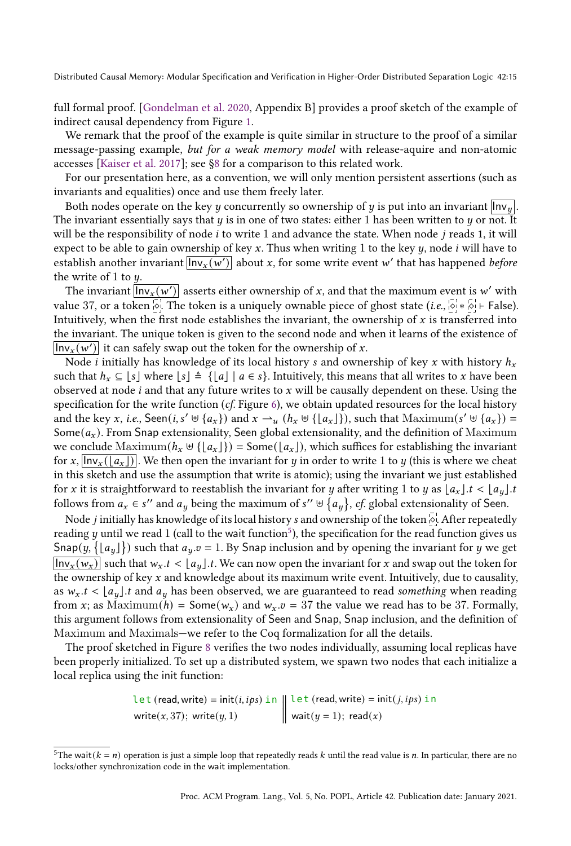full formal proof. [\[Gondelman et al.](#page-27-11) [2020,](#page-27-11) Appendix B] provides a proof sketch of the example of indirect causal dependency from Figure [1.](#page-1-0)

We remark that the proof of the example is quite similar in structure to the proof of a similar message-passing example, but for a weak memory model with release-aquire and non-atomic accesses [\[Kaiser et al. 2017\]](#page-27-12); see [ğ8](#page-24-0) for a comparison to this related work.

For our presentation here, as a convention, we will only mention persistent assertions (such as invariants and equalities) once and use them freely later.

Both nodes operate on the key *y* concurrently so ownership of *y* is put into an invariant  $\ln v_y$ . The invariant essentially says that  $y$  is in one of two states: either 1 has been written to  $y$  or not. It will be the responsibility of node  $i$  to write 1 and advance the state. When node  $j$  reads 1, it will expect to be able to gain ownership of key  $x$ . Thus when writing 1 to the key  $y$ , node  $i$  will have to establish another invariant  $\overline{ \textsf{Inv}_x (w')}$  about  $x,$  for some write event  $w'$  that has happened *before* the write of 1 to  $y$ .

The invariant  $\overline{ \textsf{Inv}_x (w')}$  asserts either ownership of  $x,$  and that the maximum event is  $w'$  with value 37, or a token  $\overline{\otimes}$ . The token is a uniquely ownable piece of ghost state (*i.e.*,  $\overline{\otimes}$  ∗  $\overline{\otimes}$  ⊦ False). Intuitively, when the first node establishes the invariant, the ownership of  $x$  is transferred into the invariant. The unique token is given to the second node and when it learns of the existence of  $\overline{\textsf{Inv}_x(w')}$  it can safely swap out the token for the ownership of x.

Node *i* initially has knowledge of its local history *s* and ownership of key *x* with history  $h_x$ such that  $h_x \subseteq [s]$  where  $[s] \triangleq \{[a] \mid a \in s\}$ . Intuitively, this means that all writes to x have been observed at node  $i$  and that any future writes to  $x$  will be causally dependent on these. Using the specification for the write function  $(cf.$  Figure [6\)](#page-12-1), we obtain updated resources for the local history and the key x, i.e., Seen(i, s'  $\forall$  { $a_x$ }) and  $x \rightarrow u$  ( $h_x \forall$  { $\lfloor a_x \rfloor$ }), such that Maximum(s'  $\forall$  { $a_x$ }) = Some $(a_x)$ . From Snap extensionality, Seen global extensionality, and the definition of Maximum we conclude  $\text{Maximum}(h_x \oplus \{\lfloor a_x \rfloor\}) = \text{Some}(\lfloor a_x \rfloor)$ , which suffices for establishing the invariant for x,  $\ln x \cdot (a_x)$ . We then open the invariant for y in order to write 1 to y (this is where we cheat in this sketch and use the assumption that write is atomic); using the invariant we just established for x it is straightforward to reestablish the invariant for y after writing 1 to y as  $\lfloor a_x \rfloor$ .  $t < \lfloor a_y \rfloor$ . follows from  $a_x \in s''$  and  $a_y$  being the maximum of  $s'' \uplus \{a_y\}$ , cf. global extensionality of Seen.

Node *j* initially has knowledge of its local history *s* and ownership of the token <sup>1</sup>. After repeatedly reading  $y$  until we read  $1$  (call to the wait function $^5$  $^5$ ), the specification for the read function gives us Snap $(y, \{ \lfloor a_y \rfloor \})$  such that  $a_y$   $v = 1$ . By Snap inclusion and by opening the invariant for  $y$  we get  $\ln v_x(w_x)$  such that  $w_x$ .  $t < |a_u|$ . We can now open the invariant for x and swap out the token for the ownership of key  $x$  and knowledge about its maximum write event. Intuitively, due to causality, as  $w_x$ .  $t < |a_y|$ . t and  $a_y$  has been observed, we are guaranteed to read something when reading from x; as Maximum(h) = Some( $w_x$ ) and  $w_x \cdot v$  = 37 the value we read has to be 37. Formally, this argument follows from extensionality of Seen and Snap, Snap inclusion, and the definition of Maximum and Maximals—we refer to the Coq formalization for all the details.

The proof sketched in Figure [8](#page-15-0) verifies the two nodes individually, assuming local replicas have been properly initialized. To set up a distributed system, we spawn two nodes that each initialize a local replica using the init function:

Let 
$$
(\text{read}, \text{write}) = \text{init}(i, ips) \text{ in } \left\| \text{let } (\text{read}, \text{write}) = \text{init}(j, ips) \text{ in } \text{write}(x, 37); \text{ write}(y, 1)
$$

\nand  $(y = 1)$ ;  $\text{read}(x)$ 

<span id="page-14-0"></span><sup>&</sup>lt;sup>5</sup>The wait( $k = n$ ) operation is just a simple loop that repeatedly reads  $k$  until the read value is  $n$ . In particular, there are no locks/other synchronization code in the wait implementation.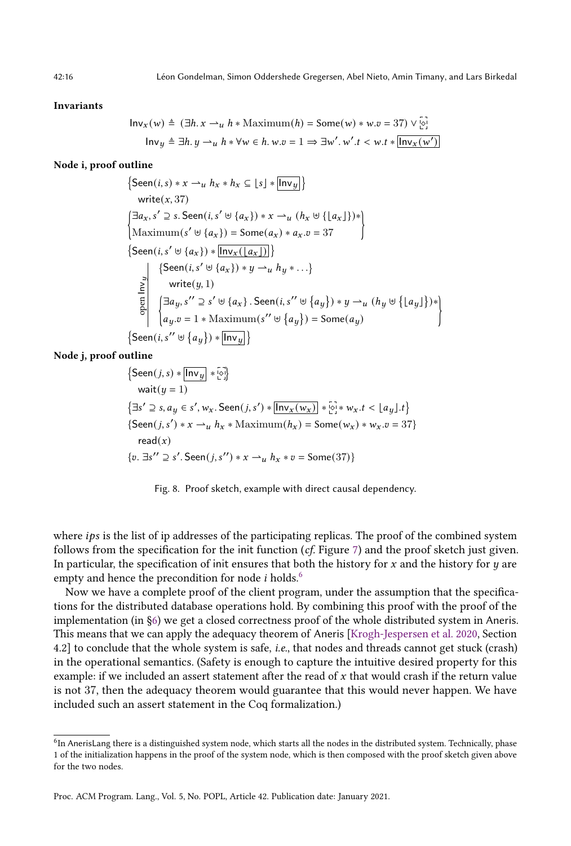#### <span id="page-15-0"></span>Invariants

$$
\ln v_x(w) \triangleq (\exists h. \, x \rightarrow_u h * \text{Maximum}(h) = \text{Some}(w) * w.v = 37) \vee \overline{\circ}.
$$
\n
$$
\ln v_y \triangleq \exists h. \, y \rightarrow_u h * \forall w \in h. \, w.v = 1 \Rightarrow \exists w'. \, w'. \, t < w.t * \overline{\ln v_x(w')}
$$

#### Node i, proof outline

$$
\left\{\begin{aligned}\n\{\text{Seen}(i, s) * x \rightarrow_{u} h_{x} * h_{x} \subseteq [s] * [\overline{\ln v_{y}}] \} \\
\text{write}(x, 37) \\
\left[\exists a_{x}, s' \supseteq s. \text{Seen}(i, s' \uplus \{a_{x}\}) * x \rightarrow_{u} (h_{x} \uplus \{\lfloor a_{x}\rfloor\})*\} \\
\text{Maximum}(s' \uplus \{a_{x}\}) &= \text{Some}(a_{x}) * a_{x}.v = 37\n\end{aligned}\right\}
$$
\n
$$
\left\{\begin{aligned}\n\text{Seen}(i, s' \uplus \{a_{x}\}) * [\overline{\ln v_{x}(\lfloor a_{x}\rfloor)}] \} \\
\text{Seen}(i, s' \uplus \{a_{x}\}) * y \rightarrow_{u} h_{y} * \ldots \\
\text{write}(y, 1) \\
\left[\begin{aligned}\n\exists a_{y}, s' \supseteq s' \uplus \{a_{x}\}. \text{Seen}(i, s'' \uplus \{a_{y}\}) * y \rightarrow_{u} (h_{y} \uplus \{\lfloor a_{y}\rfloor\})*\} \\
a_{y}.v = 1 * \text{Maximum}(s'' \uplus \{a_{y}\}) = \text{Some}(a_{y})\n\end{aligned}\right\}
$$

Node j, proof outline

{Seen(j, s) \* 
$$
[\text{Inv}_y] * [\circ]
$$
}  
\nwait(y = 1)  
\n{ $\exists s' \supseteq s, a_y \in s', w_x$ . Seen(j, s') \*  $[\text{Inv}_x(w_x)] * [\circ]$  \*  $w_x$ . $t < \lfloor a_y \rfloor$ . $t$ }  
\n{Seen(j, s') \* x  $\rightarrow u$  h<sub>x</sub> \* Maximum(h<sub>x</sub>) = Some(w<sub>x</sub>) \* w<sub>x</sub>. $v = 37$ }  
\nread(x)  
\n{ $v \cdot \exists s'' \supseteq s' . \text{Seen}(j, s'') * x \rightarrow u$  h<sub>x</sub> \*  $v = \text{Some}(37)$ }

Fig. 8. Proof sketch, example with direct causal dependency.

where  $ips$  is the list of ip addresses of the participating replicas. The proof of the combined system follows from the specification for the init function  $(cf.$  Figure [7\)](#page-12-3) and the proof sketch just given. In particular, the specification of init ensures that both the history for  $x$  and the history for  $y$  are empty and hence the precondition for node  $i$  holds.<sup>[6](#page-15-1)</sup>

Now we have a complete proof of the client program, under the assumption that the specifications for the distributed database operations hold. By combining this proof with the proof of the implementation (in [ğ6\)](#page-18-0) we get a closed correctness proof of the whole distributed system in Aneris. This means that we can apply the adequacy theorem of Aneris [\[Krogh-Jespersen et al.](#page-27-4) [2020,](#page-27-4) Section 4.2] to conclude that the whole system is safe, i.e., that nodes and threads cannot get stuck (crash) in the operational semantics. (Safety is enough to capture the intuitive desired property for this example: if we included an assert statement after the read of  $x$  that would crash if the return value is not 37, then the adequacy theorem would guarantee that this would never happen. We have included such an assert statement in the Coq formalization.)

<span id="page-15-1"></span> $^6$ In AnerisLang there is a distinguished system node, which starts all the nodes in the distributed system. Technically, phase 1 of the initialization happens in the proof of the system node, which is then composed with the proof sketch given above for the two nodes.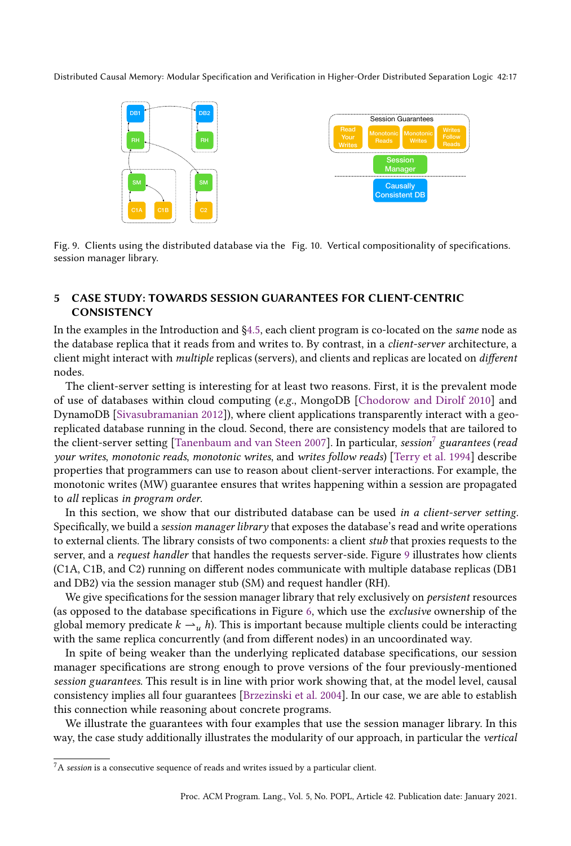<span id="page-16-2"></span>

Fig. 9. Clients using the distributed database via the Fig. 10. Vertical compositionality of specifications. session manager library.

# <span id="page-16-0"></span>5 CASE STUDY: TOWARDS SESSION GUARANTEES FOR CLIENT-CENTRIC **CONSISTENCY**

In the examples in the Introduction and [ğ4.5,](#page-13-0) each client program is co-located on the same node as the database replica that it reads from and writes to. By contrast, in a client-server architecture, a client might interact with multiple replicas (servers), and clients and replicas are located on different nodes.

The client-server setting is interesting for at least two reasons. First, it is the prevalent mode of use of databases within cloud computing (e.g., MongoDB [\[Chodorow and Dirolf 2010\]](#page-26-6) and DynamoDB [\[Sivasubramanian 2012\]](#page-28-7)), where client applications transparently interact with a georeplicated database running in the cloud. Second, there are consistency models that are tailored to the client-server setting [\[Tanenbaum and van Steen 2007\]](#page-28-8). In particular, session $^7$  $^7$  guarantees (read your writes, monotonic reads, monotonic writes, and writes follow reads) [\[Terry et al.](#page-28-6) [1994\]](#page-28-6) describe properties that programmers can use to reason about client-server interactions. For example, the monotonic writes (MW) guarantee ensures that writes happening within a session are propagated to all replicas in program order.

In this section, we show that our distributed database can be used in a client-server setting. Specifically, we build a session manager library that exposes the database's read and write operations to external clients. The library consists of two components: a client stub that proxies requests to the server, and a request handler that handles the requests server-side. Figure [9](#page-16-2) illustrates how clients (C1A, C1B, and C2) running on different nodes communicate with multiple database replicas (DB1 and DB2) via the session manager stub (SM) and request handler (RH).

We give specifications for the session manager library that rely exclusively on *persistent* resources (as opposed to the database specifications in Figure [6,](#page-12-1) which use the exclusive ownership of the global memory predicate  $k \rightarrow u$  h). This is important because multiple clients could be interacting with the same replica concurrently (and from different nodes) in an uncoordinated way.

In spite of being weaker than the underlying replicated database specifications, our session manager specifications are strong enough to prove versions of the four previously-mentioned session guarantees. This result is in line with prior work showing that, at the model level, causal consistency implies all four guarantees [\[Brzezinski et al.](#page-26-7) [2004\]](#page-26-7). In our case, we are able to establish this connection while reasoning about concrete programs.

We illustrate the guarantees with four examples that use the session manager library. In this way, the case study additionally illustrates the modularity of our approach, in particular the vertical

<span id="page-16-1"></span> $7A$  session is a consecutive sequence of reads and writes issued by a particular client.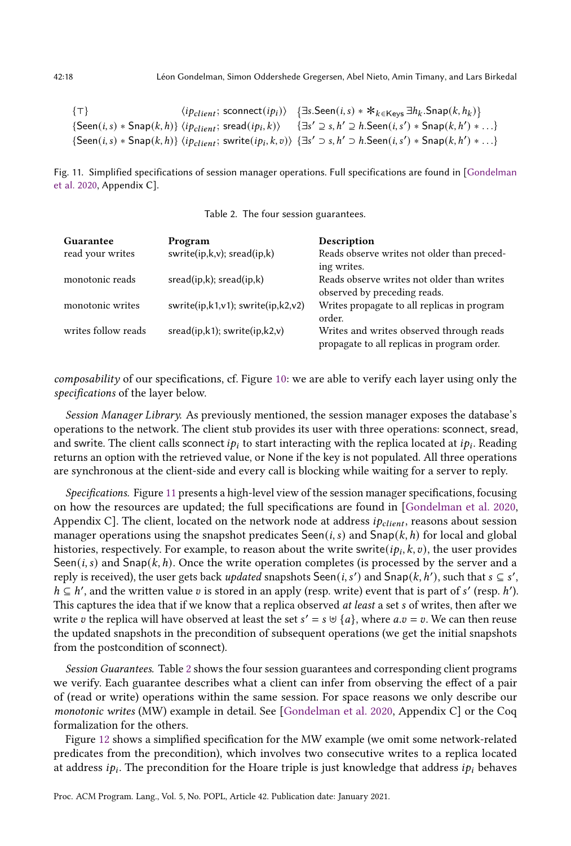<span id="page-17-0"></span>{ $\tau$ }  $\langle i p_{client}; \text{sconnect}(i p_i) \rangle$  { $\exists s. \text{Seen}(i, s) * *_{k \in \text{Keys}} \exists h_k. \text{Span}(k, h_k)$ }  $\{\mathsf{Seen}(i, s) * \mathsf{Span}(k, h)\}$   $\langle ip_{client}; \mathsf{sread}(ip_i, k) \rangle$   $\{\exists s' \supseteq s, h' \supseteq h \mathsf{Seen}(i, s') * \mathsf{Span}(k, h') * ... \}$  $\{\mathsf{Seen}(i, s) * \mathsf{Span}(k, h)\}$   $\langle ip_{client};$  swrite $(ip_i, k, v) \rangle$   $\{\exists s' \supset s, h' \supset h.\mathsf{Seen}(i, s') * \mathsf{Span}(k, h') * ... \}$ 

Fig. 11. Simplified specifications of session manager operations. Full specifications are found in [\[Gondelman](#page-27-11) [et al. 2020,](#page-27-11) Appendix C].

| Table 2. The four session guarantees. |  |  |  |
|---------------------------------------|--|--|--|
|---------------------------------------|--|--|--|

<span id="page-17-1"></span>

| Guarantee           | Program                                   | Description                                 |
|---------------------|-------------------------------------------|---------------------------------------------|
| read your writes    | swrite( $ip,k,v$ ); sread( $ip,k$ )       | Reads observe writes not older than preced- |
|                     |                                           | ing writes.                                 |
| monotonic reads     | sread(ip,k); sread(ip,k)                  | Reads observe writes not older than writes  |
|                     |                                           | observed by preceding reads.                |
| monotonic writes    | swrite $(ip,k1,v1)$ ; swrite $(ip,k2,v2)$ | Writes propagate to all replicas in program |
|                     |                                           | order.                                      |
| writes follow reads | $sread(ip, k1);$ swrite $(ip, k2, v)$     | Writes and writes observed through reads    |
|                     |                                           | propagate to all replicas in program order. |

composability of our specifications, cf. Figure [10:](#page-16-2) we are able to verify each layer using only the specifications of the layer below.

Session Manager Library. As previously mentioned, the session manager exposes the database's operations to the network. The client stub provides its user with three operations: sconnect, sread, and swrite. The client calls sconnect  $ip_i$  to start interacting with the replica located at  $ip_i$ . Reading returns an option with the retrieved value, or None if the key is not populated. All three operations are synchronous at the client-side and every call is blocking while waiting for a server to reply.

Specifications. Figure [11](#page-17-0) presents a high-level view of the session manager specifications, focusing on how the resources are updated; the full specifications are found in [\[Gondelman et al.](#page-27-11) [2020,](#page-27-11) Appendix C]. The client, located on the network node at address  $ip_{client}$ , reasons about session manager operations using the snapshot predicates Seen(*i, s*) and Snap( $k, h$ ) for local and global histories, respectively. For example, to reason about the write swrite $(i p_i, k, v)$ , the user provides Seen(*i, s*) and Snap( $k, h$ ). Once the write operation completes (is processed by the server and a reply is received), the user gets back *updated* snapshots Seen(*i*, *s'*) and Snap(*k*, *h'*), such that  $s \subseteq s'$ ,  $h \subseteq h'$ , and the written value v is stored in an apply (resp. write) event that is part of s' (resp. h'). This captures the idea that if we know that a replica observed *at least* a set *s* of writes, then after we write v the replica will have observed at least the set  $s' = s \cup \{a\}$ , where  $a.v = v$ . We can then reuse the updated snapshots in the precondition of subsequent operations (we get the initial snapshots from the postcondition of sconnect).

Session Guarantees. Table [2](#page-17-1) shows the four session guarantees and corresponding client programs we verify. Each guarantee describes what a client can infer from observing the effect of a pair of (read or write) operations within the same session. For space reasons we only describe our monotonic writes (MW) example in detail. See [\[Gondelman et al.](#page-27-11) [2020,](#page-27-11) Appendix C] or the Coq formalization for the others.

Figure [12](#page-18-1) shows a simplified specification for the MW example (we omit some network-related predicates from the precondition), which involves two consecutive writes to a replica located at address  $i p_i.$  The precondition for the Hoare triple is just knowledge that address  $i p_i$  behaves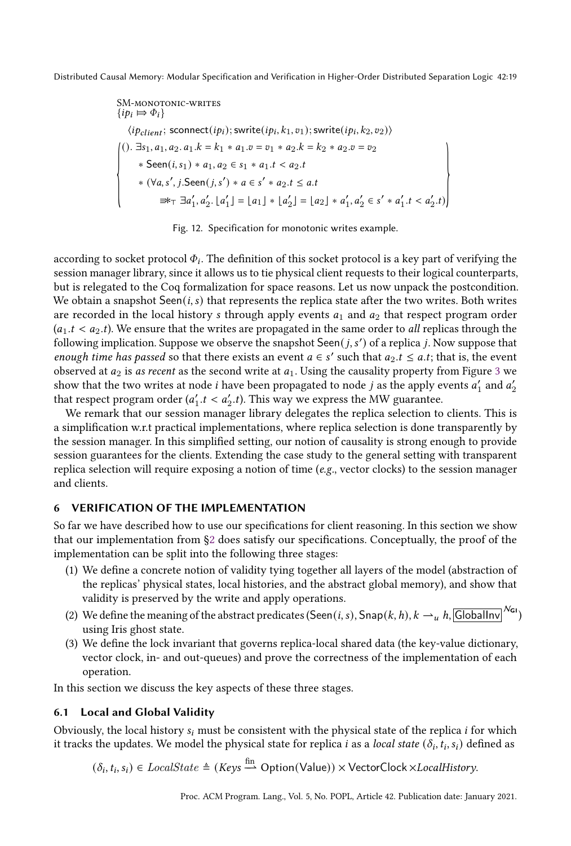<span id="page-18-1"></span>SM-MONOTONIC-WRITES  
\n{
$$
ip_i \Rightarrow \Phi_i
$$
}  
\n $\langle ip_{client}; \text{sconnect}(ip_i); \text{switch}(ip_i, k_1, v_1); \text{switch}(ip_i, k_2, v_2) \rangle$   
\n().  $\exists s_1, a_1, a_2 \ldots a_1.k = k_1 * a_1.v = v_1 * a_2.k = k_2 * a_2.v = v_2$   
\n $* \text{Seen}(i, s_1) * a_1, a_2 \in s_1 * a_1.t < a_2.t$   
\n $* (\forall a, s', j. \text{Seen}(j, s') * a \in s' * a_2.t \le a.t$   
\n $\Rightarrow_{\text{T}} \exists a'_1, a'_2, \lfloor a'_1 \rfloor = \lfloor a_1 \rfloor * \lfloor a'_2 \rfloor = \lfloor a_2 \rfloor * a'_1, a'_2 \in s' * a'_1.t < a'_2.t$ )

Fig. 12. Specification for monotonic writes example.

according to socket protocol  $\Phi_i.$  The definition of this socket protocol is a key part of verifying the session manager library, since it allows us to tie physical client requests to their logical counterparts, but is relegated to the Coq formalization for space reasons. Let us now unpack the postcondition. We obtain a snapshot  $\mathsf{Seen}(i, s)$  that represents the replica state after the two writes. Both writes are recorded in the local history  $s$  through apply events  $a_1$  and  $a_2$  that respect program order  $(a_1.t < a_2.t)$ . We ensure that the writes are propagated in the same order to all replicas through the following implication. Suppose we observe the snapshot  $\mathsf{Seen}(j, s')$  of a replica j. Now suppose that enough time has passed so that there exists an event  $a \in s'$  such that  $a_2.t \leq a.t$ ; that is, the event observed at  $a_2$  is as recent as the second write at  $a_1$ . Using the causality property from Figure [3](#page-7-0) we show that the two writes at node  $i$  have been propagated to node  $j$  as the apply events  $a_1'$  and  $a_2'$ that respect program order  $(a'_1.t < a'_2.t)$ . This way we express the MW guarantee.

We remark that our session manager library delegates the replica selection to clients. This is a simplification w.r.t practical implementations, where replica selection is done transparently by the session manager. In this simplified setting, our notion of causality is strong enough to provide session guarantees for the clients. Extending the case study to the general setting with transparent replica selection will require exposing a notion of time ( $e.g.,$  vector clocks) to the session manager and clients.

# <span id="page-18-0"></span>6 VERIFICATION OF THE IMPLEMENTATION

So far we have described how to use our specifications for client reasoning. In this section we show that our implementation from [ğ2](#page-4-0) does satisfy our specifications. Conceptually, the proof of the implementation can be split into the following three stages:

- (1) We define a concrete notion of validity tying together all layers of the model (abstraction of the replicas' physical states, local histories, and the abstract global memory), and show that validity is preserved by the write and apply operations.
- (2) We define the meaning of the abstract predicates (Seen(*i*, *s*), Snap(*k*, *h*),  $k \rightarrow u$ , *h*, GlobalInv  $^{N_{G1}}$ ) using Iris ghost state.
- (3) We define the lock invariant that governs replica-local shared data (the key-value dictionary, vector clock, in- and out-queues) and prove the correctness of the implementation of each operation.

In this section we discuss the key aspects of these three stages.

#### 6.1 Local and Global Validity

Obviously, the local history  $s_i$  must be consistent with the physical state of the replica *i* for which it tracks the updates. We model the physical state for replica  $i$  as a *local state*  $(\delta_i, t_i, s_i)$  defined as

 $(\delta_i, t_i, s_i) \in \text{LocalState} \triangleq (Keys \stackrel{\text{fin}}{\longrightarrow} \text{Option}(\text{Value})) \times \text{VectorClock} \times \text{LocalHistory}.$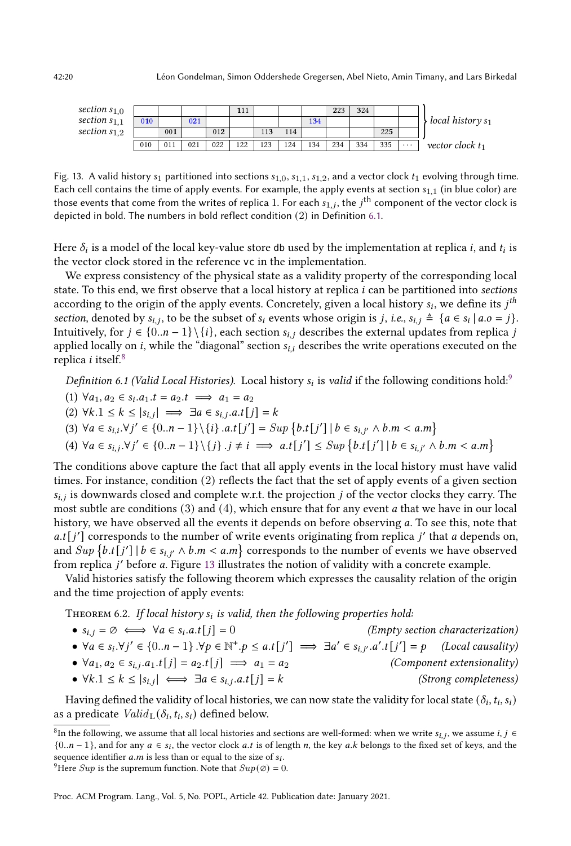<span id="page-19-3"></span>

| section $s_{1,0}$ |     |     |     |     | 111 |     |     |     | 223 | 324 |     |          |                     |
|-------------------|-----|-----|-----|-----|-----|-----|-----|-----|-----|-----|-----|----------|---------------------|
| section $s_{1,1}$ | 010 |     | 021 |     |     |     |     | 134 |     |     |     |          | local history $s_1$ |
| section $s_{1,2}$ |     | 001 |     | 012 |     | 113 | 114 |     |     |     | 225 |          |                     |
|                   | 010 | 011 | 021 | 022 | 122 | 123 | 124 | 134 | 234 | 334 | 335 | $\cdots$ | vector clock $t_1$  |

Fig. 13. A valid history  $s_1$  partitioned into sections  $s_{1,0}$ ,  $s_{1,1}$ ,  $s_{1,2}$ , and a vector clock  $t_1$  evolving through time. Each cell contains the time of apply events. For example, the apply events at section  $s_{1,1}$  (in blue color) are those events that come from the writes of replica 1. For each  $s_{1,j},$  the  $j^{\sf th}$  component of the vector clock is depicted in bold. The numbers in bold reflect condition (2) in Definition [6.1.](#page-19-0)

Here  $\delta_i$  is a model of the local key-value store <code>db</code> used by the implementation at replica  $i$ , and  $t_i$  is the vector clock stored in the reference vc in the implementation.

We express consistency of the physical state as a validity property of the corresponding local state. To this end, we first observe that a local history at replica  $i$  can be partitioned into sections according to the origin of the apply events. Concretely, given a local history  $s_i$ , we define its  $j^\textit{th}$ section, denoted by  $s_{i,j}$ , to be the subset of  $s_i$  events whose origin is j, i.e.,  $s_{i,j} \triangleq \{a \in s_i | a.o = j\}$ . Intuitively, for  $j \in \{0..n-1\} \setminus \{i\}$ , each section  $s_{i,j}$  describes the external updates from replica j applied locally on  $i$ , while the "diagonal" section  $s_{i,i}$  describes the write operations executed on the replica *i* itself. $8$ 

<span id="page-19-0"></span>Definition 6.1 (Valid Local Histories). Local history  $s_i$  is valid if the following conditions hold:<sup>[9](#page-19-2)</sup>

- (1)  $\forall a_1, a_2 \in s_i.a_1.t = a_2.t \implies a_1 = a_2$
- (2)  $\forall k. 1 \leq k \leq |s_{i,j}| \implies \exists a \in s_{i,j}. a.t [j] = k$
- (3)  $\forall a \in s_{i,i}. \forall j' \in \{0..n-1\} \setminus \{i\} . a.t[j'] = Sup \{b.t[j'] \mid b \in s_{i,j'} \land b.m < a.m\}$

$$
(4) \ \forall a \in s_{i,j}.\forall j' \in \{0..n-1\} \setminus \{j\}.\ j \neq i \implies a.t[j'] \leq Sup \{b.t[j'] \mid b \in s_{i,j'} \land b.m < a.m\}
$$

The conditions above capture the fact that all apply events in the local history must have valid times. For instance, condition (2) reflects the fact that the set of apply events of a given section  $s_{i,j}$  is downwards closed and complete w.r.t. the projection  $j$  of the vector clocks they carry. The most subtle are conditions  $(3)$  and  $(4)$ , which ensure that for any event *a* that we have in our local history, we have observed all the events it depends on before observing  $a$ . To see this, note that  $a.t[j']$  corresponds to the number of write events originating from replica  $j'$  that a depends on, and  $Sup \{b.t[j'] \mid b \in s_{i,j'} \land b.m < a.m\}$  corresponds to the number of events we have observed from replica j' before a. Figure [13](#page-19-3) illustrates the notion of validity with a concrete example.

Valid histories satisfy the following theorem which expresses the causality relation of the origin and the time projection of apply events:

THEOREM 6.2. If local history  $s_i$  is valid, then the following properties hold:

| • $s_{i,i} = \emptyset \iff \forall a \in s_i.a.t$ $[i] = 0$                                                                                                   | (Empty section characterization) |
|----------------------------------------------------------------------------------------------------------------------------------------------------------------|----------------------------------|
| • $\forall a \in s_i. \forall j' \in \{0n-1\}$ . $\forall p \in \mathbb{N}^+, p \leq a.t[j'] \implies \exists a' \in s_{i,j'}. a'.t[j'] = p$ (Local causality) |                                  |
| • $\forall a_1, a_2 \in s_{i,j}.a_1.t[j] = a_2.t[j] \implies a_1 = a_2$                                                                                        | (Component extensionality)       |
| • $\forall k. 1 \leq k \leq  s_{i,j}  \iff \exists a \in s_{i,j}. a.t [j] = k$                                                                                 | (Strong completeness)            |

Having defined the validity of local histories, we can now state the validity for local state  $(\delta_i,t_i,s_i)$ as a predicate  $\mathit{Valid}_{\mathrm{L}}(\delta_i, t_i, s_i)$  defined below.

<span id="page-19-2"></span>Proc. ACM Program. Lang., Vol. 5, No. POPL, Article 42. Publication date: January 2021.

<span id="page-19-1"></span> ${}^8\text{In}$  the following, we assume that all local histories and sections are well-formed: when we write  $s_{i,j}$ , we assume  $i, j \in$  ${0..n-1}$ , and for any  $a \in s_i$ , the vector clock a.t is of length n, the key a.k belongs to the fixed set of keys, and the sequence identifier  $a.m$  is less than or equal to the size of  $s_i$ . <sup>9</sup>Here *Sup* is the supremum function. Note that  $Sup(\emptyset) = 0$ .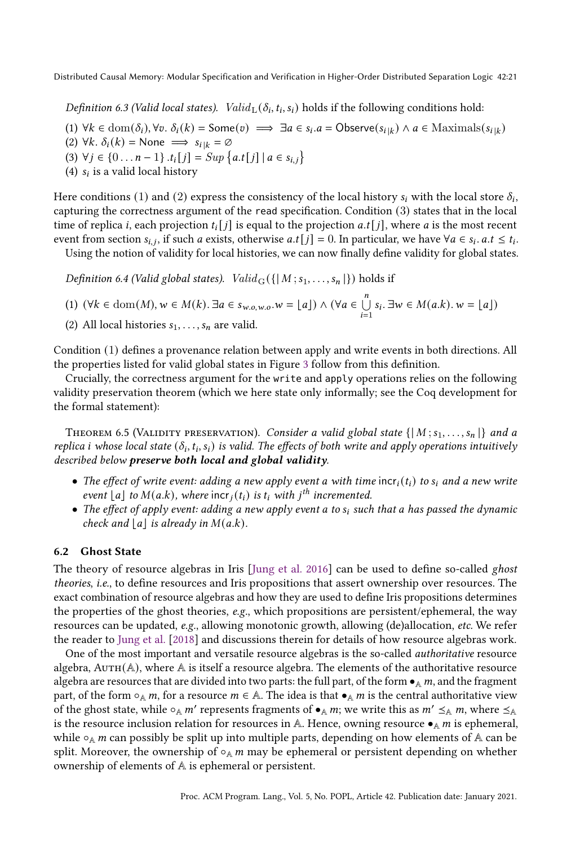<span id="page-20-1"></span>Definition 6.3 (Valid local states).  $\mathit{Valid}_L(\delta_i, t_i, s_i)$  holds if the following conditions hold:

- (1)  $\forall k \in \text{dom}(\delta_i), \forall v. \ \delta_i(k) = \text{Some}(v) \implies \exists a \in s_i.a = \text{Observe}(s_{i|k}) \land a \in \text{Maximals}(s_{i|k})$
- (2)  $\forall k. \delta_i(k) = \text{None} \implies s_{i|k} = \emptyset$
- (3)  $\forall j \in \{0 \dots n-1\}$ . $t_i[j] = Sup \{a.t[j] | a \in s_{i,j}\}\$
- (4)  $s_i$  is a valid local history

Here conditions  $(1)$  and  $(2)$  express the consistency of the local history  $s_i$  with the local store  $\delta_i$ , capturing the correctness argument of the read specification. Condition (3) states that in the local time of replica *i*, each projection  $t_i[j]$  is equal to the projection *a.t* [*j*], where *a* is the most recent event from section  $s_{i,j}$ , if such a exists, otherwise  $a.t[j] = 0$ . In particular, we have  $\forall a \in s_i$ .  $a.t \leq t_i$ . Using the notion of validity for local histories, we can now finally define validity for global states.

Definition 6.4 (Valid global states).  $Valid_G({\{ | M; s_1, \ldots, s_n | \}})$  holds if

$$
(1) \ (\forall k \in \mathrm{dom}(M), w \in M(k) . \ \exists a \in s_{w.o,w.o}. w = \lfloor a \rfloor) \land (\forall a \in \bigcup_{i=1}^{n} s_i . \ \exists w \in M(a.k) . \ w = \lfloor a \rfloor)
$$

(2) All local histories  $s_1, \ldots, s_n$  are valid.

Condition (1) defines a provenance relation between apply and write events in both directions. All the properties listed for valid global states in Figure [3](#page-7-0) follow from this definition.

Crucially, the correctness argument for the write and apply operations relies on the following validity preservation theorem (which we here state only informally; see the Coq development for the formal statement):

<span id="page-20-0"></span>THEOREM 6.5 (VALIDITY PRESERVATION). Consider a valid global state  $\{ | M; s_1, \ldots, s_n | \}$  and a replica i whose local state  $(\delta_i, t_i, s_i)$  is valid. The effects of both write and apply operations intuitively described below preserve both local and global validity.

- The effect of write event: adding a new apply event a with time  $inc_i(t_i)$  to  $s_i$  and a new write event  $\lfloor a \rfloor$  to  $M(a.k)$ , where incr<sub>j</sub> $(t_i)$  is  $t_i$  with j<sup>th</sup> incremented.
- The effect of apply event: adding a new apply event a to  $s_i$  such that a has passed the dynamic check and  $|a|$  is already in  $M(a.k)$ .

# 6.2 Ghost State

The theory of resource algebras in Iris [\[Jung et al.](#page-27-5) [2016\]](#page-27-5) can be used to define so-called ghost theories, i.e., to define resources and Iris propositions that assert ownership over resources. The exact combination of resource algebras and how they are used to define Iris propositions determines the properties of the ghost theories, e.g., which propositions are persistent/ephemeral, the way resources can be updated, e.g., allowing monotonic growth, allowing (de)allocation, etc. We refer the reader to [Jung et al.](#page-27-6) [\[2018\]](#page-27-6) and discussions therein for details of how resource algebras work.

One of the most important and versatile resource algebras is the so-called authoritative resource algebra,  $AUTH(A)$ , where A is itself a resource algebra. The elements of the authoritative resource algebra are resources that are divided into two parts: the full part, of the form  $\bullet_A$ ,  $m$ , and the fragment part, of the form  $\circ_A m$ , for a resource  $m \in \mathbb{A}$ . The idea is that  $\bullet_A m$  is the central authoritative view of the ghost state, while  $\circ_A m'$  represents fragments of  $\bullet_A m$ ; we write this as  $m' \leq_A m$ , where  $\leq_A$ is the resource inclusion relation for resources in A. Hence, owning resource  $\bullet_A m$  is ephemeral, while  $\circ_A$  *m* can possibly be split up into multiple parts, depending on how elements of A can be split. Moreover, the ownership of  $\circ_A m$  may be ephemeral or persistent depending on whether ownership of elements of A is ephemeral or persistent.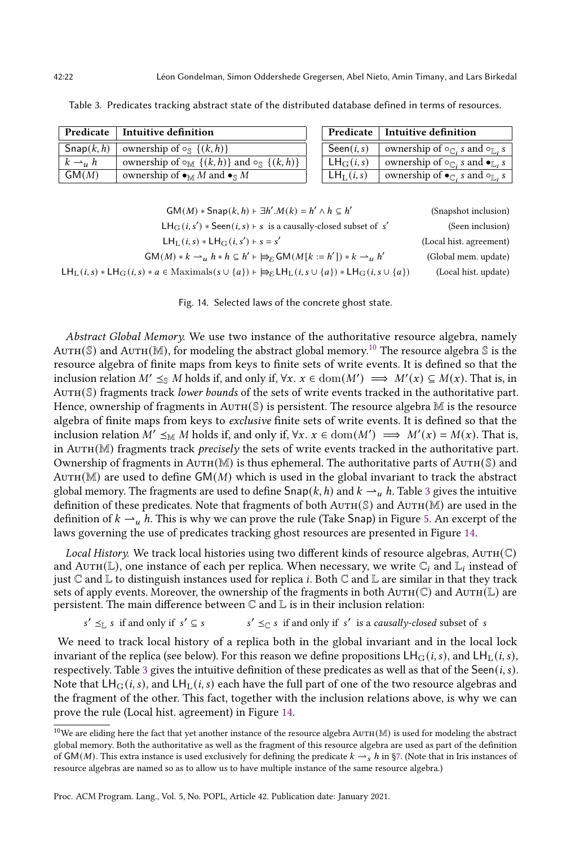s

 $\sqrt{s}$ 

s

|                       | $Predicate$ Intuitive definition                                                     |                       | Predicate   Intuitive definition                                 |
|-----------------------|--------------------------------------------------------------------------------------|-----------------------|------------------------------------------------------------------|
| $\mathsf{Snap}(k, h)$ | ownership of $\circ_{\mathbb{S}} \{ (k, h) \}$                                       | $\mathsf{Seen}(i, s)$ | ownership of $\circ_{\mathbb{C}}$ , s and $\circ_{\mathbb{L}}$   |
| $k \rightarrow u h$   | ownership of $\circ_{\mathbb{M}} \{ (k, h) \}$ and $\circ_{\mathbb{S}} \{ (k, h) \}$ | $LH_G(i,s)$           | ownership of $\circ_{\mathbb{C}}$ , s and $\bullet_{\mathbb{L}}$ |
| GM(M)                 | ownership of $\bullet_M M$ and $\bullet_S M$                                         | $LH_{L}(i,s)$         | ownership of $\bullet_{\mathbb{C}}$ , s and $\circ_{\mathbb{L}}$ |

<span id="page-21-1"></span>

|  |  |  |  |  |  |  |  |  |  | Table 3. Predicates tracking abstract state of the distributed database defined in terms of resources. |
|--|--|--|--|--|--|--|--|--|--|--------------------------------------------------------------------------------------------------------|
|--|--|--|--|--|--|--|--|--|--|--------------------------------------------------------------------------------------------------------|

<span id="page-21-2"></span>

| $GM(M) *$ Snap $(k, h)$ + $\exists h'.M(k) = h' \land h \subseteq h'$                                                                                           | (Snapshot inclusion)    |
|-----------------------------------------------------------------------------------------------------------------------------------------------------------------|-------------------------|
| $LH_G(i, s') * \text{Seen}(i, s) \vdash s$ is a causally-closed subset of s'                                                                                    | (Seen inclusion)        |
| $LH_{L}(i,s) * LH_{G}(i,s') + s = s'$                                                                                                                           | (Local hist. agreement) |
| $GM(M) * k \rightharpoonup u h * h \subseteq h' \rightharpoonup_{\varepsilon} GM(M[k := h']) * k \rightharpoonup_{u} h'$                                        | (Global mem. update)    |
| $LH_{\Gamma}(i,s) * LH_{\Gamma}(i,s) * a \in Maximals(s \cup \{a\}) \vdash \Rightarrow_{\varepsilon} LH_{\Gamma}(i,s \cup \{a\}) * LH_{\Gamma}(i,s \cup \{a\})$ | (Local hist. update)    |
|                                                                                                                                                                 |                         |

Fig. 14. Selected laws of the concrete ghost state.

Abstract Global Memory. We use two instance of the authoritative resource algebra, namely AUTH(S) and AUTH(M), for modeling the abstract global memory.<sup>[10](#page-21-0)</sup> The resource algebra S is the resource algebra of finite maps from keys to finite sets of write events. It is defined so that the inclusion relation  $M' \leq_{\mathbb{S}} M$  holds if, and only if,  $\forall x. x \in \text{dom}(M') \implies M'(x) \subseteq M(x)$ . That is, in AUTH(S) fragments track lower bounds of the sets of write events tracked in the authoritative part. Hence, ownership of fragments in  $AUTH(S)$  is persistent. The resource algebra  $M$  is the resource algebra of finite maps from keys to exclusive finite sets of write events. It is defined so that the inclusion relation  $M' \leq_M M$  holds if, and only if,  $\forall x. x \in \text{dom}(M') \implies M'(x) = M(x)$ . That is, in  $AUTH(M)$  fragments track *precisely* the sets of write events tracked in the authoritative part. Ownership of fragments in AUTH(M) is thus ephemeral. The authoritative parts of AUTH( $\mathbb{S}$ ) and  $A$ UTH(M) are used to define GM(M) which is used in the global invariant to track the abstract global memory. The fragments are used to define  $\text{Snap}(k, h)$  and  $k \to u$  h. Table [3](#page-21-1) gives the intuitive definition of these predicates. Note that fragments of both  $AUTH(S)$  and  $AUTH(M)$  are used in the definition of  $k \rightarrow u$  h. This is why we can prove the rule (Take Snap) in Figure [5.](#page-10-2) An excerpt of the laws governing the use of predicates tracking ghost resources are presented in Figure [14.](#page-21-2)

Local History. We track local histories using two different kinds of resource algebras,  $AUTH(\mathbb{C})$ and Au $\texttt{TH}(\mathbb{L})$ , one instance of each per replica. When necessary, we write  $\mathbb{C}_i$  and  $\mathbb{L}_i$  instead of just  $\mathbb C$  and  $\mathbb L$  to distinguish instances used for replica *i*. Both  $\mathbb C$  and  $\mathbb L$  are similar in that they track sets of apply events. Moreover, the ownership of the fragments in both AUTH( $\mathbb{C}$ ) and AUTH( $\mathbb{L}$ ) are persistent. The main difference between  $\mathbb C$  and  $\mathbb L$  is in their inclusion relation:

$$
s' \leq_{\mathbb{L}} s \text{ if and only if } s' \subseteq s \qquad s' \leq_{\mathbb{C}} s \text{ if and only if } s' \text{ is a causally-closed subset of  $s$
$$

We need to track local history of a replica both in the global invariant and in the local lock invariant of the replica (see below). For this reason we define propositions  $LH_G(i, s)$ , and  $LH_L(i, s)$ , respectively. Table [3](#page-21-1) gives the intuitive definition of these predicates as well as that of the Seen( $i, s$ ). Note that  $LH_G(i, s)$ , and  $LH_L(i, s)$  each have the full part of one of the two resource algebras and the fragment of the other. This fact, together with the inclusion relations above, is why we can prove the rule (Local hist. agreement) in Figure [14.](#page-21-2)

s

<span id="page-21-0"></span> $10$ We are eliding here the fact that yet another instance of the resource algebra AUTH(M) is used for modeling the abstract global memory. Both the authoritative as well as the fragment of this resource algebra are used as part of the definition of GM(M). This extra instance is used exclusively for defining the predicate  $k \rightarrow s h$  in §7. (Note that in Iris instances of resource algebras are named so as to allow us to have multiple instance of the same resource algebra.)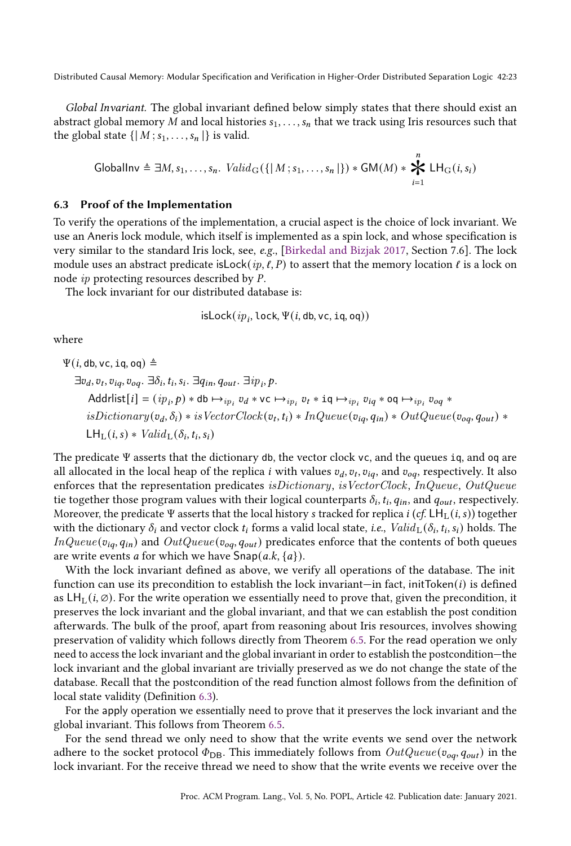Global Invariant. The global invariant defined below simply states that there should exist an abstract global memory M and local histories  $s_1, \ldots, s_n$  that we track using Iris resources such that the global state  $\{ |M; s_1, \ldots, s_n| \}$  is valid.

Globallnv 
$$
\triangleq \exists M, s_1, \ldots, s_n
$$
.  $Valid_G(\{|M; s_1, \ldots, s_n\})*GM(M) * \bigtimes_{i=1}^n LH_G(i, s_i)$ 

### 6.3 Proof of the Implementation

To verify the operations of the implementation, a crucial aspect is the choice of lock invariant. We use an Aneris lock module, which itself is implemented as a spin lock, and whose specification is very similar to the standard Iris lock, see, e.g., [\[Birkedal and Bizjak 2017,](#page-26-5) Section 7.6]. The lock module uses an abstract predicate is  $\text{Lock}(ip, \ell, P)$  to assert that the memory location  $\ell$  is a lock on node  $ip$  protecting resources described by  $P$ .

The lock invariant for our distributed database is:

$$
\mathsf{isLock}(ip_i, \mathsf{lock}, \Psi(i, \mathsf{db}, \mathsf{vc}, \mathtt{iq}, \mathsf{oq}))
$$

where

 $\Psi(i, db, \nu c, iq, oq) \triangleq$ 

 $\exists v_d, v_t, v_{iq}, v_{oq}. \exists \delta_i, t_i, s_i. \exists q_{in}, q_{out}. \exists ip_i, p.$ Addrlist $[i] = (ip_i, p) * db \mapsto_{ip_i} v_d * vc \mapsto_{ip_i} v_t * iq \mapsto_{ip_i} v_{iq} * oq \mapsto_{ip_i} v_{oq} *$  $is Dictionary(v_d, \delta_i) * isVectorClock(v_t, t_i) * InQueue(v_{iq}, q_{in}) * OutQueue(v_{oq}, q_{out}) *$  $LH_L(i,s) * Valid_L(\delta_i, t_i, s_i)$ 

The predicate Ψ asserts that the dictionary db, the vector clock vc, and the queues iq, and oq are all allocated in the local heap of the replica  $i$  with values  $v_d, v_t, v_{iq},$  and  $v_{oq},$  respectively. It also enforces that the representation predicates is Dictionary, is VectorClock, InQueue, OutQueue tie together those program values with their logical counterparts  $\delta_i$ ,  $t_i$ ,  $q_{in}$ , and  $q_{out}$ , respectively. Moreover, the predicate Ψ asserts that the local history *s* tracked for replica *i* (*cf.* LH<sub>L</sub>(*i*, *s*)) together with the dictionary  $\delta_i$  and vector clock  $t_i$  forms a valid local state, *i.e.*,  $\mathit{Valid}_L(\delta_i, t_i, s_i)$  holds. The  $InQueue (v_{iq}, q_{in})$  and  $OutQueue (v_{oq}, q_{out})$  predicates enforce that the contents of both queues are write events *a* for which we have  $\textsf{Snap}(a,k,\{a\})$ .

With the lock invariant defined as above, we verify all operations of the database. The init function can use its precondition to establish the lock invariant—in fact, initToken( $i$ ) is defined as  $LH<sub>L</sub>(i, \emptyset)$ . For the write operation we essentially need to prove that, given the precondition, it preserves the lock invariant and the global invariant, and that we can establish the post condition afterwards. The bulk of the proof, apart from reasoning about Iris resources, involves showing preservation of validity which follows directly from Theorem [6.5.](#page-20-0) For the read operation we only need to access the lock invariant and the global invariant in order to establish the postcondition–the lock invariant and the global invariant are trivially preserved as we do not change the state of the database. Recall that the postcondition of the read function almost follows from the definition of local state validity (Definition [6.3\)](#page-20-1).

For the apply operation we essentially need to prove that it preserves the lock invariant and the global invariant. This follows from Theorem [6.5.](#page-20-0)

For the send thread we only need to show that the write events we send over the network adhere to the socket protocol  $\Phi_{\text{DB}}$ . This immediately follows from  $OutQueue(v_{oq}, q_{out})$  in the lock invariant. For the receive thread we need to show that the write events we receive over the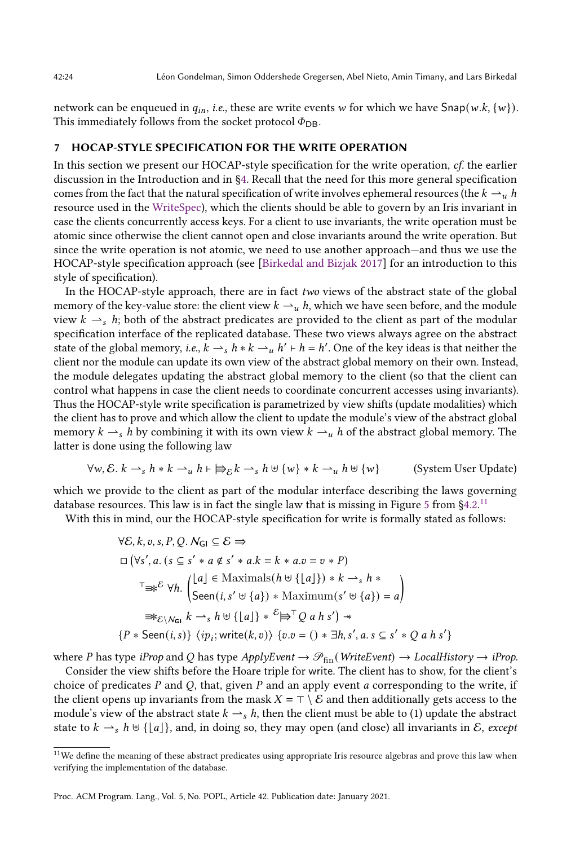network can be enqueued in  $q_{in}$ , *i.e.*, these are write events w for which we have  $\text{Snap}(w.k, \{w\})$ . This immediately follows from the socket protocol  $\Phi_{\text{DB}}$ .

# <span id="page-23-0"></span>7 HOCAP-STYLE SPECIFICATION FOR THE WRITE OPERATION

In this section we present our HOCAP-style specification for the write operation,  $cf$ , the earlier discussion in the Introduction and in [ğ4.](#page-8-0) Recall that the need for this more general specification comes from the fact that the natural specification of write involves ephemeral resources (the  $k \rightarrow u h$ resource used in the [WriteSpec\)](#page-12-5), which the clients should be able to govern by an Iris invariant in case the clients concurrently access keys. For a client to use invariants, the write operation must be atomic since otherwise the client cannot open and close invariants around the write operation. But since the write operation is not atomic, we need to use another approach—and thus we use the HOCAP-style specification approach (see [\[Birkedal and Bizjak 2017\]](#page-26-5) for an introduction to this style of specification).

In the HOCAP-style approach, there are in fact two views of the abstract state of the global memory of the key-value store: the client view  $k \rightarrow u$ , which we have seen before, and the module view  $k \rightarrow s$  h; both of the abstract predicates are provided to the client as part of the modular specification interface of the replicated database. These two views always agree on the abstract state of the global memory, i.e.,  $k \rightharpoonup_s h * k \rightharpoonup_u h' \rightharpoonup_h h'$ . One of the key ideas is that neither the client nor the module can update its own view of the abstract global memory on their own. Instead, the module delegates updating the abstract global memory to the client (so that the client can control what happens in case the client needs to coordinate concurrent accesses using invariants). Thus the HOCAP-style write specification is parametrized by view shifts (update modalities) which the client has to prove and which allow the client to update the module's view of the abstract global memory  $k \rightharpoonup_s h$  by combining it with its own view  $k \rightharpoonup_u h$  of the abstract global memory. The latter is done using the following law

$$
\forall w, \mathcal{E}. \ k \rightarrow_s h * k \rightarrow_u h \vdash \exists \varepsilon \, k \rightarrow_s h \uplus \{w\} * k \rightarrow_u h \uplus \{w\}
$$
 (System User Update)

which we provide to the client as part of the modular interface describing the laws governing database resources. This law is in fact the single law that is missing in Figure [5](#page-10-2) from  $\S 4.2^{11}$  $\S 4.2^{11}$  $\S 4.2^{11}$ 

With this in mind, our the HOCAP-style specification for write is formally stated as follows:

<span id="page-23-2"></span>
$$
\forall \mathcal{E}, k, v, s, P, Q. N_{\mathsf{GI}} \subseteq \mathcal{E} \Rightarrow
$$
  
\n
$$
\Box \left( \forall s', a. (s \subseteq s' * a \notin s' * a.k = k * a.v = v * P \right)
$$
  
\n
$$
\top \Rightarrow^{\mathcal{E}} \forall h. \left( \begin{matrix} \lfloor a \rfloor \in \text{Maximals}(h \uplus \{\lfloor a \rfloor\}) * k \rightarrow_s h * \\ \text{Seen}(i, s' \uplus \{a\}) * \text{Maximum}(s' \uplus \{a\}) = a \end{matrix} \right)
$$
  
\n
$$
\Rightarrow \varepsilon_{\mathcal{E} \setminus N_{\mathsf{GI}}} k \rightarrow_s h \uplus \{\lfloor a \rfloor\} * \mathcal{E} \Rightarrow^{\mathcal{T}} Q a h s' \Rightarrow
$$
  
\n
$$
\{P * \text{Seen}(i, s)\} \langle ip_i; \text{write}(k, v) \rangle \{v.v = () * \exists h, s', a.s \subseteq s' * Q a h s' \}
$$

where P has type iProp and Q has type ApplyEvent  $\rightarrow \mathcal{P}_{fin}(WriteEvent) \rightarrow LocalHistory \rightarrow iProp$ .

Consider the view shifts before the Hoare triple for write. The client has to show, for the client's choice of predicates  $P$  and  $Q$ , that, given  $P$  and an apply event  $a$  corresponding to the write, if the client opens up invariants from the mask  $X = \top \setminus \mathcal{E}$  and then additionally gets access to the module's view of the abstract state  $k \rightarrow s$ , then the client must be able to (1) update the abstract state to  $k \rightharpoonup_s h \uplus \{[a]\}\$ , and, in doing so, they may open (and close) all invariants in  $\mathcal{E}$ , except

<span id="page-23-1"></span> $^{11}\rm{We}$  define the meaning of these abstract predicates using appropriate Iris resource algebras and prove this law when verifying the implementation of the database.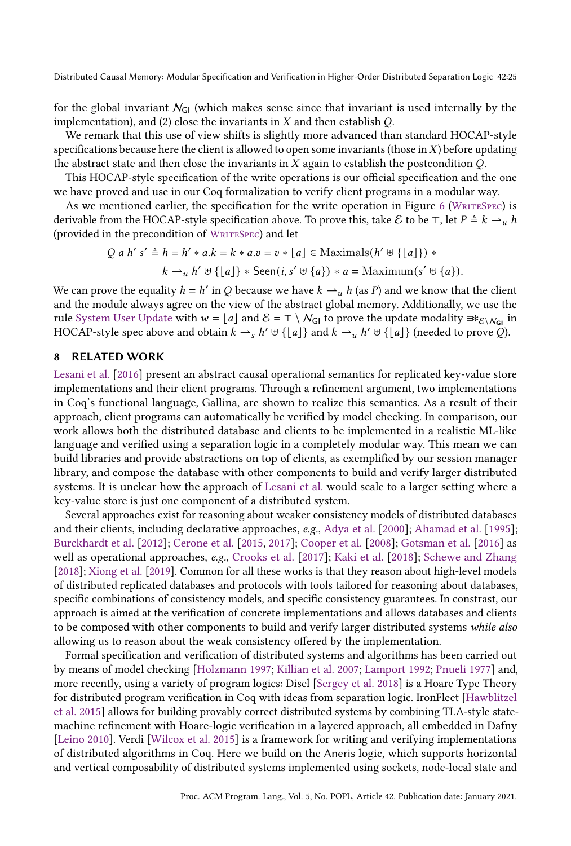for the global invariant  $N_{GI}$  (which makes sense since that invariant is used internally by the implementation), and (2) close the invariants in  $X$  and then establish  $Q$ .

We remark that this use of view shifts is slightly more advanced than standard HOCAP-style specifications because here the client is allowed to open some invariants (those in  $X$ ) before updating the abstract state and then close the invariants in  $X$  again to establish the postcondition  $Q$ .

This HOCAP-style specification of the write operations is our official specification and the one we have proved and use in our Coq formalization to verify client programs in a modular way.

As we mentioned earlier, the specification for the write operation in Figure [6](#page-12-1) (WRITESPEC) is derivable from the HOCAP-style specification above. To prove this, take E to be ⊤, let  $P \triangleq k \rightharpoonup u h$ (provided in the precondition of WRITESPEC) and let

$$
Q a h' s' \triangleq h = h' * a.k = k * a.v = v * \lfloor a \rfloor \in \text{Maximals}(h' \uplus \{\lfloor a \rfloor\}) *
$$

$$
k \rightarrow_u h' \uplus \{\lfloor a \rfloor\} * \text{Seen}(i, s' \uplus \{a\}) * a = \text{Maximum}(s' \uplus \{a\}).
$$

We can prove the equality  $h = h'$  in Q because we have  $k \rightharpoonup_u h$  (as P) and we know that the client and the module always agree on the view of the abstract global memory. Additionally, we use the rule [System User Update](#page-23-2) with  $w = \lfloor a \rfloor$  and  $\mathcal{E} = \top \setminus \mathcal{N}_{\text{GI}}$  to prove the update modality  $\Rightarrow \varepsilon_1 \mathcal{N}_{\text{GI}}$  in HOCAP-style spec above and obtain  $k \rightharpoonup_s h' \uplus \{\lfloor a\rfloor\}$  and  $k \rightharpoonup_u h' \uplus \{\lfloor a\rfloor\}$  (needed to prove  $Q$ ).

# <span id="page-24-0"></span>8 RELATED WORK

[Lesani et al.](#page-28-3) [\[2016\]](#page-28-3) present an abstract causal operational semantics for replicated key-value store implementations and their client programs. Through a refinement argument, two implementations in Coq's functional language, Gallina, are shown to realize this semantics. As a result of their approach, client programs can automatically be verified by model checking. In comparison, our work allows both the distributed database and clients to be implemented in a realistic ML-like language and verified using a separation logic in a completely modular way. This mean we can build libraries and provide abstractions on top of clients, as exemplified by our session manager library, and compose the database with other components to build and verify larger distributed systems. It is unclear how the approach of [Lesani et al.](#page-28-3) would scale to a larger setting where a key-value store is just one component of a distributed system.

Several approaches exist for reasoning about weaker consistency models of distributed databases and their clients, including declarative approaches, e.g., [Adya et al.](#page-26-8) [\[2000\]](#page-26-8); [Ahamad et al.](#page-26-3) [\[1995\]](#page-26-3); [Burckhardt et al.](#page-26-9) [\[2012\]](#page-26-9); [Cerone et al.](#page-26-10) [\[2015,](#page-26-10) [2017\]](#page-26-11); [Cooper et al.](#page-26-12) [\[2008\]](#page-26-12); [Gotsman et al.](#page-27-2) [\[2016\]](#page-27-2) as well as operational approaches, e.g., [Crooks et al.](#page-26-13) [\[2017\]](#page-26-13); [Kaki et al.](#page-27-3) [\[2018\]](#page-27-3); [Schewe and Zhang](#page-28-9) [\[2018\]](#page-28-9); [Xiong et al.](#page-28-4) [\[2019\]](#page-28-4). Common for all these works is that they reason about high-level models of distributed replicated databases and protocols with tools tailored for reasoning about databases, specific combinations of consistency models, and specific consistency guarantees. In constrast, our approach is aimed at the verification of concrete implementations and allows databases and clients to be composed with other components to build and verify larger distributed systems while also allowing us to reason about the weak consistency offered by the implementation.

Formal specification and verification of distributed systems and algorithms has been carried out by means of model checking [\[Holzmann 1997;](#page-27-13) [Killian et al.](#page-27-14) [2007;](#page-27-14) [Lamport 1992;](#page-28-10) [Pnueli 1977\]](#page-28-11) and, more recently, using a variety of program logics: Disel [\[Sergey et al.](#page-28-12) [2018\]](#page-28-12) is a Hoare Type Theory for distributed program verification in Coq with ideas from separation logic. IronFleet [\[Hawblitzel](#page-27-15) [et al.](#page-27-15) [2015\]](#page-27-15) allows for building provably correct distributed systems by combining TLA-style statemachine refinement with Hoare-logic verification in a layered approach, all embedded in Dafny [\[Leino 2010\]](#page-28-13). Verdi [\[Wilcox et al.](#page-28-14) [2015\]](#page-28-14) is a framework for writing and verifying implementations of distributed algorithms in Coq. Here we build on the Aneris logic, which supports horizontal and vertical composability of distributed systems implemented using sockets, node-local state and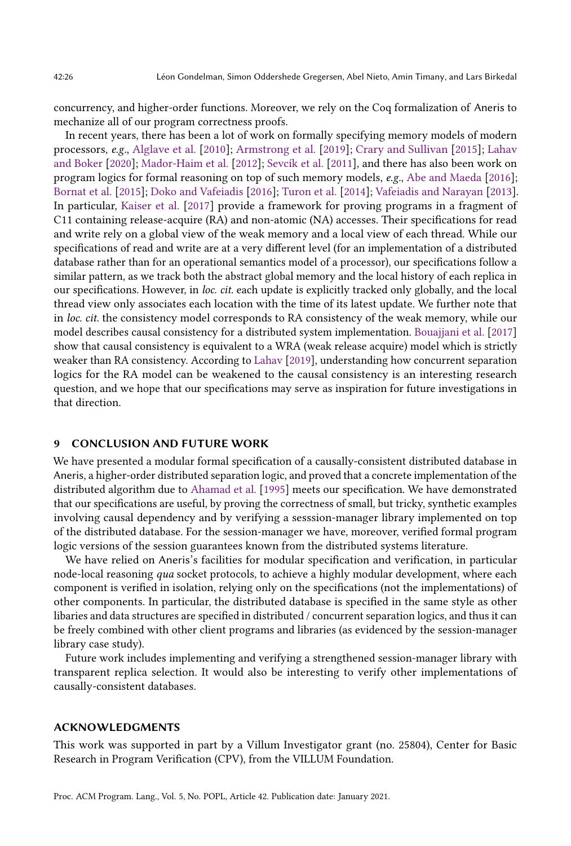concurrency, and higher-order functions. Moreover, we rely on the Coq formalization of Aneris to mechanize all of our program correctness proofs.

In recent years, there has been a lot of work on formally specifying memory models of modern processors, e.g., [Alglave et al.](#page-26-14) [\[2010\]](#page-26-14); [Armstrong et al.](#page-26-15) [\[2019\]](#page-26-15); [Crary and Sullivan](#page-26-16) [\[2015\]](#page-26-16); [Lahav](#page-27-16) [and Boker](#page-27-16) [\[2020\]](#page-27-16); [Mador-Haim et al.](#page-28-15) [\[2012\]](#page-28-15); [Sevcík et al.](#page-28-16) [\[2011\]](#page-28-16), and there has also been work on program logics for formal reasoning on top of such memory models, e.g., [Abe and Maeda](#page-26-17) [\[2016\]](#page-26-17); [Bornat et al.](#page-26-18) [\[2015\]](#page-26-18); [Doko and Vafeiadis](#page-27-17) [\[2016\]](#page-27-17); [Turon et al.](#page-28-17) [\[2014\]](#page-28-17); [Vafeiadis and Narayan](#page-28-18) [\[2013\]](#page-28-18). In particular, [Kaiser et al.](#page-27-12) [\[2017\]](#page-27-12) provide a framework for proving programs in a fragment of C11 containing release-acquire (RA) and non-atomic (NA) accesses. Their specifications for read and write rely on a global view of the weak memory and a local view of each thread. While our specifications of read and write are at a very different level (for an implementation of a distributed database rather than for an operational semantics model of a processor), our specifications follow a similar pattern, as we track both the abstract global memory and the local history of each replica in our specifications. However, in loc. cit. each update is explicitly tracked only globally, and the local thread view only associates each location with the time of its latest update. We further note that in loc. cit. the consistency model corresponds to RA consistency of the weak memory, while our model describes causal consistency for a distributed system implementation. [Bouajjani et al.](#page-26-19) [\[2017\]](#page-26-19) show that causal consistency is equivalent to a WRA (weak release acquire) model which is strictly weaker than RA consistency. According to [Lahav](#page-27-18) [\[2019\]](#page-27-18), understanding how concurrent separation logics for the RA model can be weakened to the causal consistency is an interesting research question, and we hope that our specifications may serve as inspiration for future investigations in that direction.

# <span id="page-25-0"></span>9 CONCLUSION AND FUTURE WORK

We have presented a modular formal specification of a causally-consistent distributed database in Aneris, a higher-order distributed separation logic, and proved that a concrete implementation of the distributed algorithm due to [Ahamad et al.](#page-26-3) [\[1995\]](#page-26-3) meets our specification. We have demonstrated that our specifications are useful, by proving the correctness of small, but tricky, synthetic examples involving causal dependency and by verifying a sesssion-manager library implemented on top of the distributed database. For the session-manager we have, moreover, verified formal program logic versions of the session guarantees known from the distributed systems literature.

We have relied on Aneris's facilities for modular specification and verification, in particular node-local reasoning *qua* socket protocols, to achieve a highly modular development, where each component is verified in isolation, relying only on the specifications (not the implementations) of other components. In particular, the distributed database is specified in the same style as other libaries and data structures are specified in distributed / concurrent separation logics, and thus it can be freely combined with other client programs and libraries (as evidenced by the session-manager library case study).

Future work includes implementing and verifying a strengthened session-manager library with transparent replica selection. It would also be interesting to verify other implementations of causally-consistent databases.

## ACKNOWLEDGMENTS

This work was supported in part by a Villum Investigator grant (no. 25804), Center for Basic Research in Program Verification (CPV), from the VILLUM Foundation.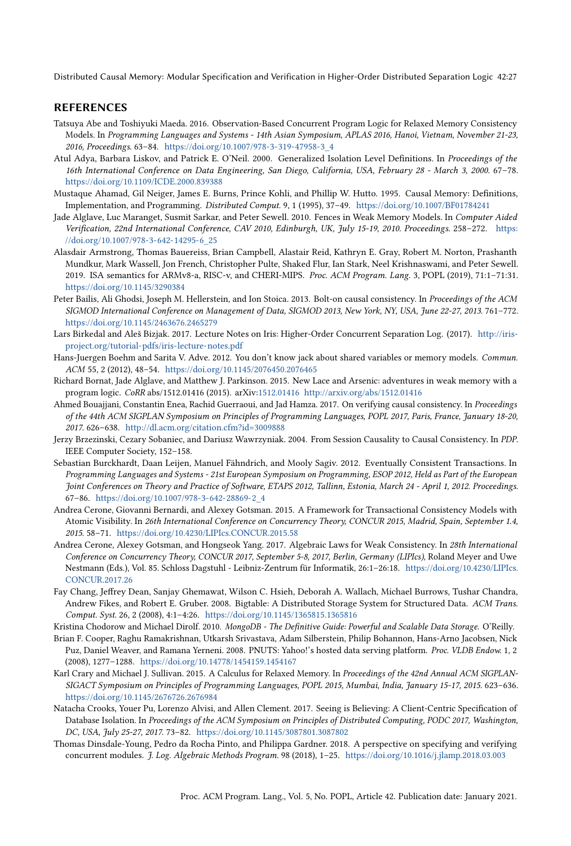# REFERENCES

- <span id="page-26-17"></span>Tatsuya Abe and Toshiyuki Maeda. 2016. Observation-Based Concurrent Program Logic for Relaxed Memory Consistency Models. In Programming Languages and Systems - 14th Asian Symposium, APLAS 2016, Hanoi, Vietnam, November 21-23, 2016, Proceedings. 63-84. [https://doi.org/10.1007/978-3-319-47958-3\\_4](https://doi.org/10.1007/978-3-319-47958-3_4)
- <span id="page-26-8"></span>Atul Adya, Barbara Liskov, and Patrick E. O'Neil. 2000. Generalized Isolation Level Definitions. In Proceedings of the 16th International Conference on Data Engineering, San Diego, California, USA, February 28 - March 3, 2000. 67-78. <https://doi.org/10.1109/ICDE.2000.839388>
- <span id="page-26-3"></span>Mustaque Ahamad, Gil Neiger, James E. Burns, Prince Kohli, and Phillip W. Hutto. 1995. Causal Memory: Definitions, Implementation, and Programming. Distributed Comput. 9, 1 (1995), 37-49. <https://doi.org/10.1007/BF01784241>
- <span id="page-26-14"></span>Jade Alglave, Luc Maranget, Susmit Sarkar, and Peter Sewell. 2010. Fences in Weak Memory Models. In Computer Aided Verification, 22nd International Conference, CAV 2010, Edinburgh, UK, July 15-19, 2010. Proceedings. 258-272. [https:](https://doi.org/10.1007/978-3-642-14295-6_25) [//doi.org/10.1007/978-3-642-14295-6\\_25](https://doi.org/10.1007/978-3-642-14295-6_25)
- <span id="page-26-15"></span>Alasdair Armstrong, Thomas Bauereiss, Brian Campbell, Alastair Reid, Kathryn E. Gray, Robert M. Norton, Prashanth Mundkur, Mark Wassell, Jon French, Christopher Pulte, Shaked Flur, Ian Stark, Neel Krishnaswami, and Peter Sewell. 2019. ISA semantics for ARMv8-a, RISC-v, and CHERI-MIPS. Proc. ACM Program. Lang. 3, POPL (2019), 71:1-71:31. <https://doi.org/10.1145/3290384>
- <span id="page-26-0"></span>Peter Bailis, Ali Ghodsi, Joseph M. Hellerstein, and Ion Stoica. 2013. Bolt-on causal consistency. In Proceedings of the ACM SIGMOD International Conference on Management of Data, SIGMOD 2013, New York, NY, USA, June 22-27, 2013. 761-772. <https://doi.org/10.1145/2463676.2465279>
- <span id="page-26-5"></span>Lars Birkedal and Aleš Bizjak. 2017. Lecture Notes on Iris: Higher-Order Concurrent Separation Log. (2017). [http://iris](http://iris-project.org/tutorial-pdfs/iris-lecture-notes.pdf)[project.org/tutorial-pdfs/iris-lecture-notes.pdf](http://iris-project.org/tutorial-pdfs/iris-lecture-notes.pdf)
- <span id="page-26-2"></span>Hans-Juergen Boehm and Sarita V. Adve. 2012. You don't know jack about shared variables or memory models. Commun. ACM 55, 2 (2012), 48-54. <https://doi.org/10.1145/2076450.2076465>
- <span id="page-26-18"></span>Richard Bornat, Jade Alglave, and Matthew J. Parkinson. 2015. New Lace and Arsenic: adventures in weak memory with a program logic. CoRR abs/1512.01416 (2015). arXiv[:1512.01416](https://arxiv.org/abs/1512.01416)<http://arxiv.org/abs/1512.01416>
- <span id="page-26-19"></span>Ahmed Bouajjani, Constantin Enea, Rachid Guerraoui, and Jad Hamza. 2017. On verifying causal consistency. In Proceedings of the 44th ACM SIGPLAN Symposium on Principles of Programming Languages, POPL 2017, Paris, France, January 18-20, 2017. 626-638. <http://dl.acm.org/citation.cfm?id=3009888>
- <span id="page-26-7"></span>Jerzy Brzezinski, Cezary Sobaniec, and Dariusz Wawrzyniak. 2004. From Session Causality to Causal Consistency. In PDP. IEEE Computer Society, 152-158.
- <span id="page-26-9"></span>Sebastian Burckhardt, Daan Leijen, Manuel Fähndrich, and Mooly Sagiv. 2012. Eventually Consistent Transactions. In Programming Languages and Systems - 21st European Symposium on Programming, ESOP 2012, Held as Part of the European Joint Conferences on Theory and Practice of Software, ETAPS 2012, Tallinn, Estonia, March 24 - April 1, 2012. Proceedings. 67-86. [https://doi.org/10.1007/978-3-642-28869-2\\_4](https://doi.org/10.1007/978-3-642-28869-2_4)
- <span id="page-26-10"></span>Andrea Cerone, Giovanni Bernardi, and Alexey Gotsman. 2015. A Framework for Transactional Consistency Models with Atomic Visibility. In 26th International Conference on Concurrency Theory, CONCUR 2015, Madrid, Spain, September 1.4, 2015. 58-71. <https://doi.org/10.4230/LIPIcs.CONCUR.2015.58>
- <span id="page-26-11"></span>Andrea Cerone, Alexey Gotsman, and Hongseok Yang. 2017. Algebraic Laws for Weak Consistency. In 28th International Conference on Concurrency Theory, CONCUR 2017, September 5-8, 2017, Berlin, Germany (LIPIcs), Roland Meyer and Uwe Nestmann (Eds.), Vol. 85. Schloss Dagstuhl - Leibniz-Zentrum für Informatik, 26:1-26:18. [https://doi.org/10.4230/LIPIcs.](https://doi.org/10.4230/LIPIcs.CONCUR.2017.26) [CONCUR.2017.26](https://doi.org/10.4230/LIPIcs.CONCUR.2017.26)
- <span id="page-26-1"></span>Fay Chang, Jeffrey Dean, Sanjay Ghemawat, Wilson C. Hsieh, Deborah A. Wallach, Michael Burrows, Tushar Chandra, Andrew Fikes, and Robert E. Gruber. 2008. Bigtable: A Distributed Storage System for Structured Data. ACM Trans. Comput. Syst. 26, 2 (2008), 4:1-4:26. <https://doi.org/10.1145/1365815.1365816>
- <span id="page-26-6"></span>Kristina Chodorow and Michael Dirolf. 2010. MongoDB - The Definitive Guide: Powerful and Scalable Data Storage. O'Reilly.
- <span id="page-26-12"></span>Brian F. Cooper, Raghu Ramakrishnan, Utkarsh Srivastava, Adam Silberstein, Philip Bohannon, Hans-Arno Jacobsen, Nick Puz, Daniel Weaver, and Ramana Yerneni. 2008. PNUTS: Yahoo!'s hosted data serving platform. Proc. VLDB Endow. 1, 2 (2008), 1277-1288. <https://doi.org/10.14778/1454159.1454167>
- <span id="page-26-16"></span>Karl Crary and Michael J. Sullivan. 2015. A Calculus for Relaxed Memory. In Proceedings of the 42nd Annual ACM SIGPLAN-SIGACT Symposium on Principles of Programming Languages, POPL 2015, Mumbai, India, January 15-17, 2015. 623-636. <https://doi.org/10.1145/2676726.2676984>
- <span id="page-26-13"></span>Natacha Crooks, Youer Pu, Lorenzo Alvisi, and Allen Clement. 2017. Seeing is Believing: A Client-Centric Specification of Database Isolation. In Proceedings of the ACM Symposium on Principles of Distributed Computing, PODC 2017, Washington, DC, USA, July 25-27, 2017. 73-82. <https://doi.org/10.1145/3087801.3087802>
- <span id="page-26-4"></span>Thomas Dinsdale-Young, Pedro da Rocha Pinto, and Philippa Gardner. 2018. A perspective on specifying and verifying concurrent modules. J. Log. Algebraic Methods Program. 98 (2018), 1-25. <https://doi.org/10.1016/j.jlamp.2018.03.003>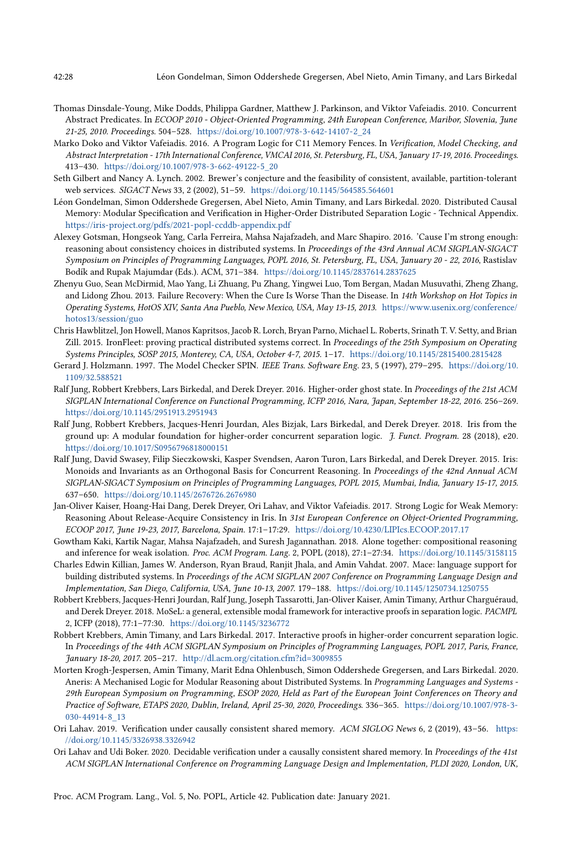- <span id="page-27-10"></span>Thomas Dinsdale-Young, Mike Dodds, Philippa Gardner, Matthew J. Parkinson, and Viktor Vafeiadis. 2010. Concurrent Abstract Predicates. In ECOOP 2010 - Object-Oriented Programming, 24th European Conference, Maribor, Slovenia, June 21-25, 2010. Proceedings. 504-528. [https://doi.org/10.1007/978-3-642-14107-2\\_24](https://doi.org/10.1007/978-3-642-14107-2_24)
- <span id="page-27-17"></span>Marko Doko and Viktor Vafeiadis. 2016. A Program Logic for C11 Memory Fences. In Verification, Model Checking, and Abstract Interpretation - 17th International Conference, VMCAI 2016, St. Petersburg, FL, USA, January 17-19, 2016. Proceedings. 413-430. [https://doi.org/10.1007/978-3-662-49122-5\\_20](https://doi.org/10.1007/978-3-662-49122-5_20)
- <span id="page-27-0"></span>Seth Gilbert and Nancy A. Lynch. 2002. Brewer's conjecture and the feasibility of consistent, available, partition-tolerant web services. SIGACT News 33, 2 (2002), 51-59. <https://doi.org/10.1145/564585.564601>
- <span id="page-27-11"></span>Léon Gondelman, Simon Oddershede Gregersen, Abel Nieto, Amin Timany, and Lars Birkedal. 2020. Distributed Causal Memory: Modular Specification and Verification in Higher-Order Distributed Separation Logic - Technical Appendix. <https://iris-project.org/pdfs/2021-popl-ccddb-appendix.pdf>
- <span id="page-27-2"></span>Alexey Gotsman, Hongseok Yang, Carla Ferreira, Mahsa Najafzadeh, and Marc Shapiro. 2016. 'Cause I'm strong enough: reasoning about consistency choices in distributed systems. In Proceedings of the 43rd Annual ACM SIGPLAN-SIGACT Symposium on Principles of Programming Languages, POPL 2016, St. Petersburg, FL, USA, January 20 - 22, 2016, Rastislav Bodík and Rupak Majumdar (Eds.). ACM, 371-384. <https://doi.org/10.1145/2837614.2837625>
- <span id="page-27-1"></span>Zhenyu Guo, Sean McDirmid, Mao Yang, Li Zhuang, Pu Zhang, Yingwei Luo, Tom Bergan, Madan Musuvathi, Zheng Zhang, and Lidong Zhou. 2013. Failure Recovery: When the Cure Is Worse Than the Disease. In 14th Workshop on Hot Topics in Operating Systems, HotOS XIV, Santa Ana Pueblo, New Mexico, USA, May 13-15, 2013. [https://www.usenix.org/conference/](https://www.usenix.org/conference/hotos13/session/guo) [hotos13/session/guo](https://www.usenix.org/conference/hotos13/session/guo)
- <span id="page-27-15"></span>Chris Hawblitzel, Jon Howell, Manos Kapritsos, Jacob R. Lorch, Bryan Parno, Michael L. Roberts, Srinath T. V. Setty, and Brian Zill. 2015. IronFleet: proving practical distributed systems correct. In Proceedings of the 25th Symposium on Operating Systems Principles, SOSP 2015, Monterey, CA, USA, October 4-7, 2015. 1-17. <https://doi.org/10.1145/2815400.2815428>
- <span id="page-27-13"></span>Gerard J. Holzmann. 1997. The Model Checker SPIN. IEEE Trans. Software Eng. 23, 5 (1997), 279-295. [https://doi.org/10.](https://doi.org/10.1109/32.588521) [1109/32.588521](https://doi.org/10.1109/32.588521)
- <span id="page-27-5"></span>Ralf Jung, Robbert Krebbers, Lars Birkedal, and Derek Dreyer. 2016. Higher-order ghost state. In Proceedings of the 21st ACM SIGPLAN International Conference on Functional Programming, ICFP 2016, Nara, Japan, September 18-22, 2016. 256-269. <https://doi.org/10.1145/2951913.2951943>
- <span id="page-27-6"></span>Ralf Jung, Robbert Krebbers, Jacques-Henri Jourdan, Ales Bizjak, Lars Birkedal, and Derek Dreyer. 2018. Iris from the ground up: A modular foundation for higher-order concurrent separation logic. J. Funct. Program. 28 (2018), e20. <https://doi.org/10.1017/S0956796818000151>
- <span id="page-27-7"></span>Ralf Jung, David Swasey, Filip Sieczkowski, Kasper Svendsen, Aaron Turon, Lars Birkedal, and Derek Dreyer. 2015. Iris: Monoids and Invariants as an Orthogonal Basis for Concurrent Reasoning. In Proceedings of the 42nd Annual ACM SIGPLAN-SIGACT Symposium on Principles of Programming Languages, POPL 2015, Mumbai, India, January 15-17, 2015. 637-650. <https://doi.org/10.1145/2676726.2676980>
- <span id="page-27-12"></span>Jan-Oliver Kaiser, Hoang-Hai Dang, Derek Dreyer, Ori Lahav, and Viktor Vafeiadis. 2017. Strong Logic for Weak Memory: Reasoning About Release-Acquire Consistency in Iris. In 31st European Conference on Object-Oriented Programming, ECOOP 2017, June 19-23, 2017, Barcelona, Spain. 17:1-17:29. <https://doi.org/10.4230/LIPIcs.ECOOP.2017.17>
- <span id="page-27-3"></span>Gowtham Kaki, Kartik Nagar, Mahsa Najafzadeh, and Suresh Jagannathan. 2018. Alone together: compositional reasoning and inference for weak isolation. Proc. ACM Program. Lang. 2, POPL (2018), 27:1-27:34. <https://doi.org/10.1145/3158115>
- <span id="page-27-14"></span>Charles Edwin Killian, James W. Anderson, Ryan Braud, Ranjit Jhala, and Amin Vahdat. 2007. Mace: language support for building distributed systems. In Proceedings of the ACM SIGPLAN 2007 Conference on Programming Language Design and Implementation, San Diego, California, USA, June 10-13, 2007. 179-188. <https://doi.org/10.1145/1250734.1250755>
- <span id="page-27-8"></span>Robbert Krebbers, Jacques-Henri Jourdan, Ralf Jung, Joseph Tassarotti, Jan-Oliver Kaiser, Amin Timany, Arthur Charguéraud, and Derek Dreyer. 2018. MoSeL: a general, extensible modal framework for interactive proofs in separation logic. PACMPL 2, ICFP (2018), 77:1-77:30. <https://doi.org/10.1145/3236772>
- <span id="page-27-9"></span>Robbert Krebbers, Amin Timany, and Lars Birkedal. 2017. Interactive proofs in higher-order concurrent separation logic. In Proceedings of the 44th ACM SIGPLAN Symposium on Principles of Programming Languages, POPL 2017, Paris, France, January 18-20, 2017. 205-217. <http://dl.acm.org/citation.cfm?id=3009855>
- <span id="page-27-4"></span>Morten Krogh-Jespersen, Amin Timany, Marit Edna Ohlenbusch, Simon Oddershede Gregersen, and Lars Birkedal. 2020. Aneris: A Mechanised Logic for Modular Reasoning about Distributed Systems. In Programming Languages and Systems -29th European Symposium on Programming, ESOP 2020, Held as Part of the European Joint Conferences on Theory and Practice of Software, ETAPS 2020, Dublin, Ireland, April 25-30, 2020, Proceedings. 336-365. [https://doi.org/10.1007/978-3-](https://doi.org/10.1007/978-3-030-44914-8_13) [030-44914-8\\_13](https://doi.org/10.1007/978-3-030-44914-8_13)
- <span id="page-27-18"></span>Ori Lahav. 2019. Verification under causally consistent shared memory. ACM SIGLOG News 6, 2 (2019), 43-56. [https:](https://doi.org/10.1145/3326938.3326942) [//doi.org/10.1145/3326938.3326942](https://doi.org/10.1145/3326938.3326942)
- <span id="page-27-16"></span>Ori Lahav and Udi Boker. 2020. Decidable verification under a causally consistent shared memory. In Proceedings of the 41st ACM SIGPLAN International Conference on Programming Language Design and Implementation, PLDI 2020, London, UK,